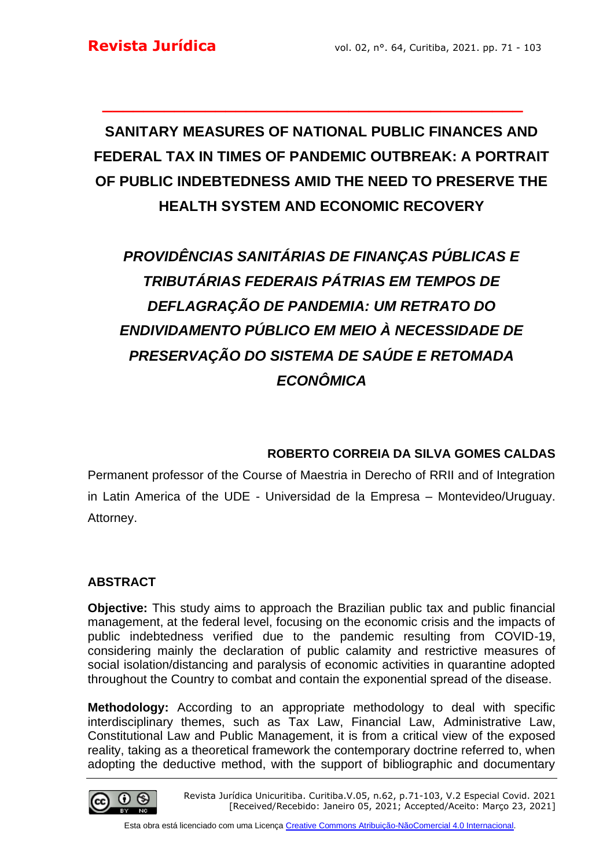# **SANITARY MEASURES OF NATIONAL PUBLIC FINANCES AND FEDERAL TAX IN TIMES OF PANDEMIC OUTBREAK: A PORTRAIT OF PUBLIC INDEBTEDNESS AMID THE NEED TO PRESERVE THE HEALTH SYSTEM AND ECONOMIC RECOVERY**

**\_\_\_\_\_\_\_\_\_\_\_\_\_\_\_\_\_\_\_\_\_\_\_\_\_\_\_\_\_\_\_\_\_\_\_\_\_\_\_\_\_**

# *PROVIDÊNCIAS SANITÁRIAS DE FINANÇAS PÚBLICAS E TRIBUTÁRIAS FEDERAIS PÁTRIAS EM TEMPOS DE DEFLAGRAÇÃO DE PANDEMIA: UM RETRATO DO ENDIVIDAMENTO PÚBLICO EM MEIO À NECESSIDADE DE PRESERVAÇÃO DO SISTEMA DE SAÚDE E RETOMADA ECONÔMICA*

## **ROBERTO CORREIA DA SILVA GOMES CALDAS**

Permanent professor of the Course of Maestria in Derecho of RRII and of Integration in Latin America of the UDE - Universidad de la Empresa – Montevideo/Uruguay. Attorney.

## **ABSTRACT**

**Objective:** This study aims to approach the Brazilian public tax and public financial management, at the federal level, focusing on the economic crisis and the impacts of public indebtedness verified due to the pandemic resulting from COVID-19, considering mainly the declaration of public calamity and restrictive measures of social isolation/distancing and paralysis of economic activities in quarantine adopted throughout the Country to combat and contain the exponential spread of the disease.

**Methodology:** According to an appropriate methodology to deal with specific interdisciplinary themes, such as Tax Law, Financial Law, Administrative Law, Constitutional Law and Public Management, it is from a critical view of the exposed reality, taking as a theoretical framework the contemporary doctrine referred to, when adopting the deductive method, with the support of bibliographic and documentary

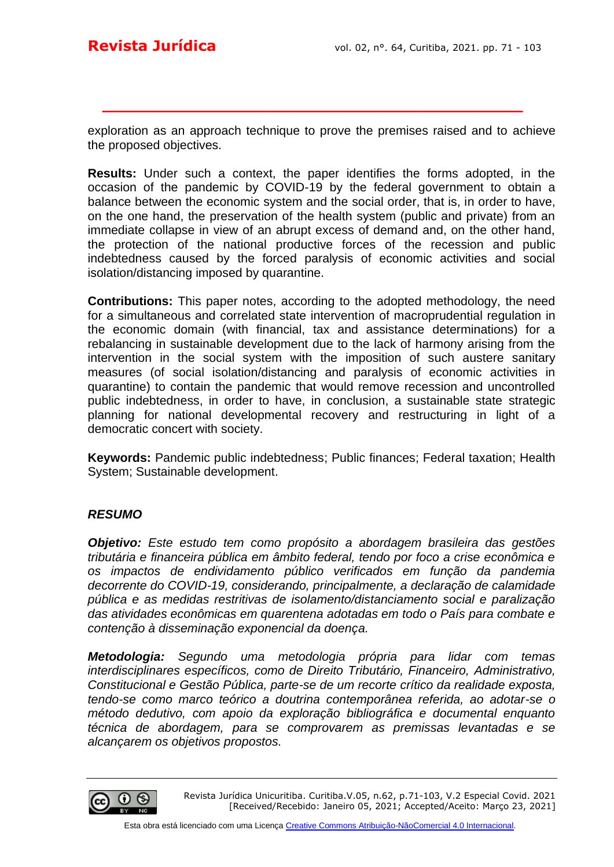exploration as an approach technique to prove the premises raised and to achieve the proposed objectives.

**\_\_\_\_\_\_\_\_\_\_\_\_\_\_\_\_\_\_\_\_\_\_\_\_\_\_\_\_\_\_\_\_\_\_\_\_\_\_\_\_\_**

**Results:** Under such a context, the paper identifies the forms adopted, in the occasion of the pandemic by COVID-19 by the federal government to obtain a balance between the economic system and the social order, that is, in order to have, on the one hand, the preservation of the health system (public and private) from an immediate collapse in view of an abrupt excess of demand and, on the other hand, the protection of the national productive forces of the recession and public indebtedness caused by the forced paralysis of economic activities and social isolation/distancing imposed by quarantine.

**Contributions:** This paper notes, according to the adopted methodology, the need for a simultaneous and correlated state intervention of macroprudential regulation in the economic domain (with financial, tax and assistance determinations) for a rebalancing in sustainable development due to the lack of harmony arising from the intervention in the social system with the imposition of such austere sanitary measures (of social isolation/distancing and paralysis of economic activities in quarantine) to contain the pandemic that would remove recession and uncontrolled public indebtedness, in order to have, in conclusion, a sustainable state strategic planning for national developmental recovery and restructuring in light of a democratic concert with society.

**Keywords:** Pandemic public indebtedness; Public finances; Federal taxation; Health System; Sustainable development.

#### *RESUMO*

*Objetivo: Este estudo tem como propósito a abordagem brasileira das gestões tributária e financeira pública em âmbito federal, tendo por foco a crise econômica e os impactos de endividamento público verificados em função da pandemia decorrente do COVID-19, considerando, principalmente, a declaração de calamidade pública e as medidas restritivas de isolamento/distanciamento social e paralização das atividades econômicas em quarentena adotadas em todo o País para combate e contenção à disseminação exponencial da doença.* 

*Metodologia: Segundo uma metodologia própria para lidar com temas interdisciplinares específicos, como de Direito Tributário, Financeiro, Administrativo, Constitucional e Gestão Pública, parte-se de um recorte crítico da realidade exposta, tendo-se como marco teórico a doutrina contemporânea referida, ao adotar-se o método dedutivo, com apoio da exploração bibliográfica e documental enquanto técnica de abordagem, para se comprovarem as premissas levantadas e se alcançarem os objetivos propostos.*

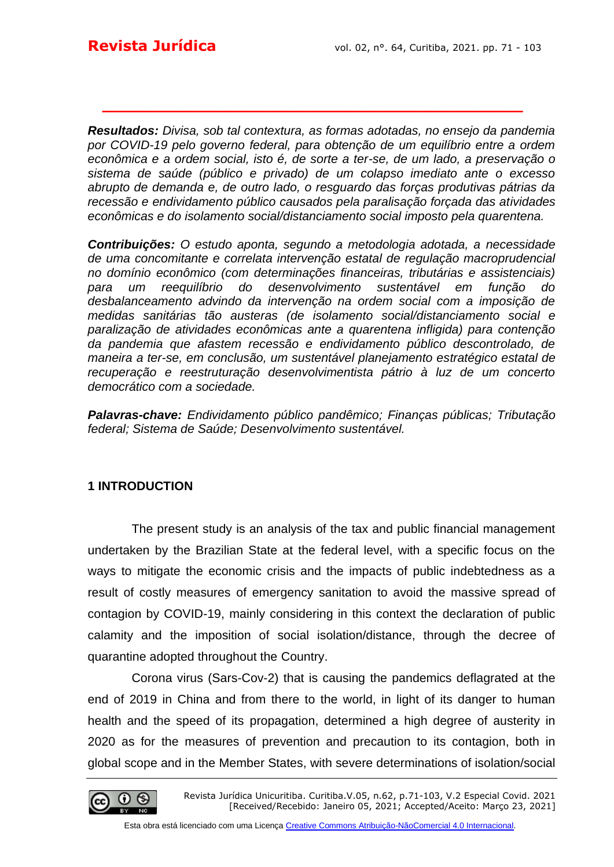*Resultados: Divisa, sob tal contextura, as formas adotadas, no ensejo da pandemia por COVID-19 pelo governo federal, para obtenção de um equilíbrio entre a ordem econômica e a ordem social, isto é, de sorte a ter-se, de um lado, a preservação o sistema de saúde (público e privado) de um colapso imediato ante o excesso abrupto de demanda e, de outro lado, o resguardo das forças produtivas pátrias da recessão e endividamento público causados pela paralisação forçada das atividades econômicas e do isolamento social/distanciamento social imposto pela quarentena.* 

**\_\_\_\_\_\_\_\_\_\_\_\_\_\_\_\_\_\_\_\_\_\_\_\_\_\_\_\_\_\_\_\_\_\_\_\_\_\_\_\_\_**

*Contribuições: O estudo aponta, segundo a metodologia adotada, a necessidade de uma concomitante e correlata intervenção estatal de regulação macroprudencial no domínio econômico (com determinações financeiras, tributárias e assistenciais) para um reequilíbrio do desenvolvimento sustentável em função do desbalanceamento advindo da intervenção na ordem social com a imposição de medidas sanitárias tão austeras (de isolamento social/distanciamento social e paralização de atividades econômicas ante a quarentena infligida) para contenção da pandemia que afastem recessão e endividamento público descontrolado, de maneira a ter-se, em conclusão, um sustentável planejamento estratégico estatal de recuperação e reestruturação desenvolvimentista pátrio à luz de um concerto democrático com a sociedade.* 

*Palavras-chave: Endividamento público pandêmico; Finanças públicas; Tributação federal; Sistema de Saúde; Desenvolvimento sustentável.*

#### **1 INTRODUCTION**

The present study is an analysis of the tax and public financial management undertaken by the Brazilian State at the federal level, with a specific focus on the ways to mitigate the economic crisis and the impacts of public indebtedness as a result of costly measures of emergency sanitation to avoid the massive spread of contagion by COVID-19, mainly considering in this context the declaration of public calamity and the imposition of social isolation/distance, through the decree of quarantine adopted throughout the Country.

Corona virus (Sars-Cov-2) that is causing the pandemics deflagrated at the end of 2019 in China and from there to the world, in light of its danger to human health and the speed of its propagation, determined a high degree of austerity in 2020 as for the measures of prevention and precaution to its contagion, both in global scope and in the Member States, with severe determinations of isolation/social

Revista Jurídica Unicuritiba. Curitiba.V.05, n.62, p.71-103, V.2 Especial Covid. 2021 [Received/Recebido: Janeiro 05, 2021; Accepted/Aceito: Março 23, 2021]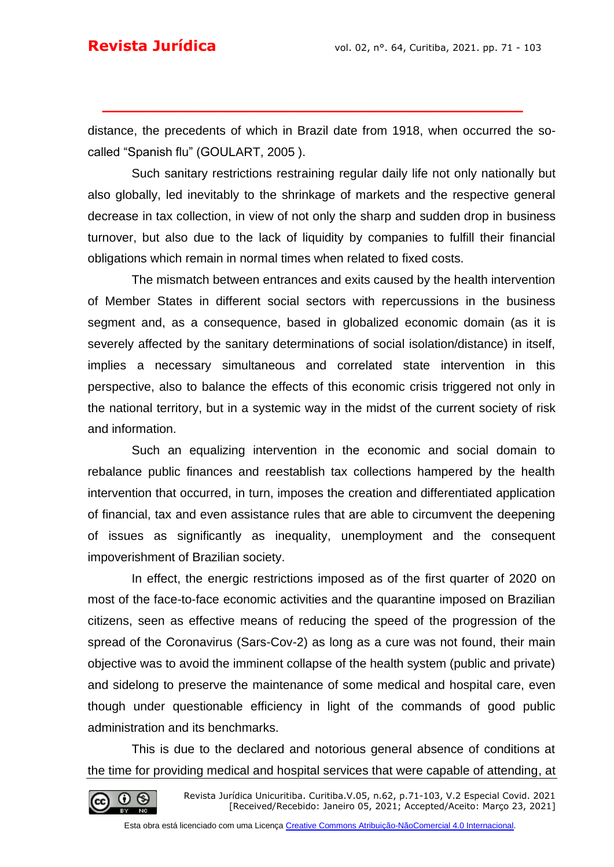distance, the precedents of which in Brazil date from 1918, when occurred the socalled "Spanish flu" (GOULART, 2005 ).

**\_\_\_\_\_\_\_\_\_\_\_\_\_\_\_\_\_\_\_\_\_\_\_\_\_\_\_\_\_\_\_\_\_\_\_\_\_\_\_\_\_**

Such sanitary restrictions restraining regular daily life not only nationally but also globally, led inevitably to the shrinkage of markets and the respective general decrease in tax collection, in view of not only the sharp and sudden drop in business turnover, but also due to the lack of liquidity by companies to fulfill their financial obligations which remain in normal times when related to fixed costs.

The mismatch between entrances and exits caused by the health intervention of Member States in different social sectors with repercussions in the business segment and, as a consequence, based in globalized economic domain (as it is severely affected by the sanitary determinations of social isolation/distance) in itself, implies a necessary simultaneous and correlated state intervention in this perspective, also to balance the effects of this economic crisis triggered not only in the national territory, but in a systemic way in the midst of the current society of risk and information.

Such an equalizing intervention in the economic and social domain to rebalance public finances and reestablish tax collections hampered by the health intervention that occurred, in turn, imposes the creation and differentiated application of financial, tax and even assistance rules that are able to circumvent the deepening of issues as significantly as inequality, unemployment and the consequent impoverishment of Brazilian society.

In effect, the energic restrictions imposed as of the first quarter of 2020 on most of the face-to-face economic activities and the quarantine imposed on Brazilian citizens, seen as effective means of reducing the speed of the progression of the spread of the Coronavirus (Sars-Cov-2) as long as a cure was not found, their main objective was to avoid the imminent collapse of the health system (public and private) and sidelong to preserve the maintenance of some medical and hospital care, even though under questionable efficiency in light of the commands of good public administration and its benchmarks.

This is due to the declared and notorious general absence of conditions at the time for providing medical and hospital services that were capable of attending, at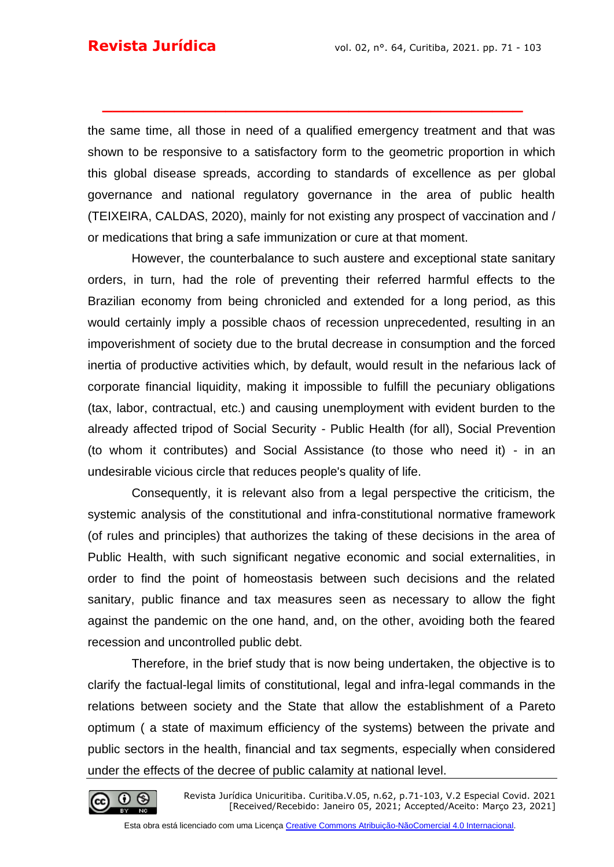the same time, all those in need of a qualified emergency treatment and that was shown to be responsive to a satisfactory form to the geometric proportion in which this global disease spreads, according to standards of excellence as per global governance and national regulatory governance in the area of public health (TEIXEIRA, CALDAS, 2020), mainly for not existing any prospect of vaccination and / or medications that bring a safe immunization or cure at that moment.

**\_\_\_\_\_\_\_\_\_\_\_\_\_\_\_\_\_\_\_\_\_\_\_\_\_\_\_\_\_\_\_\_\_\_\_\_\_\_\_\_\_**

However, the counterbalance to such austere and exceptional state sanitary orders, in turn, had the role of preventing their referred harmful effects to the Brazilian economy from being chronicled and extended for a long period, as this would certainly imply a possible chaos of recession unprecedented, resulting in an impoverishment of society due to the brutal decrease in consumption and the forced inertia of productive activities which, by default, would result in the nefarious lack of corporate financial liquidity, making it impossible to fulfill the pecuniary obligations (tax, labor, contractual, etc.) and causing unemployment with evident burden to the already affected tripod of Social Security - Public Health (for all), Social Prevention (to whom it contributes) and Social Assistance (to those who need it) - in an undesirable vicious circle that reduces people's quality of life.

Consequently, it is relevant also from a legal perspective the criticism, the systemic analysis of the constitutional and infra-constitutional normative framework (of rules and principles) that authorizes the taking of these decisions in the area of Public Health, with such significant negative economic and social externalities, in order to find the point of homeostasis between such decisions and the related sanitary, public finance and tax measures seen as necessary to allow the fight against the pandemic on the one hand, and, on the other, avoiding both the feared recession and uncontrolled public debt.

Therefore, in the brief study that is now being undertaken, the objective is to clarify the factual-legal limits of constitutional, legal and infra-legal commands in the relations between society and the State that allow the establishment of a Pareto optimum ( a state of maximum efficiency of the systems) between the private and public sectors in the health, financial and tax segments, especially when considered under the effects of the decree of public calamity at national level.

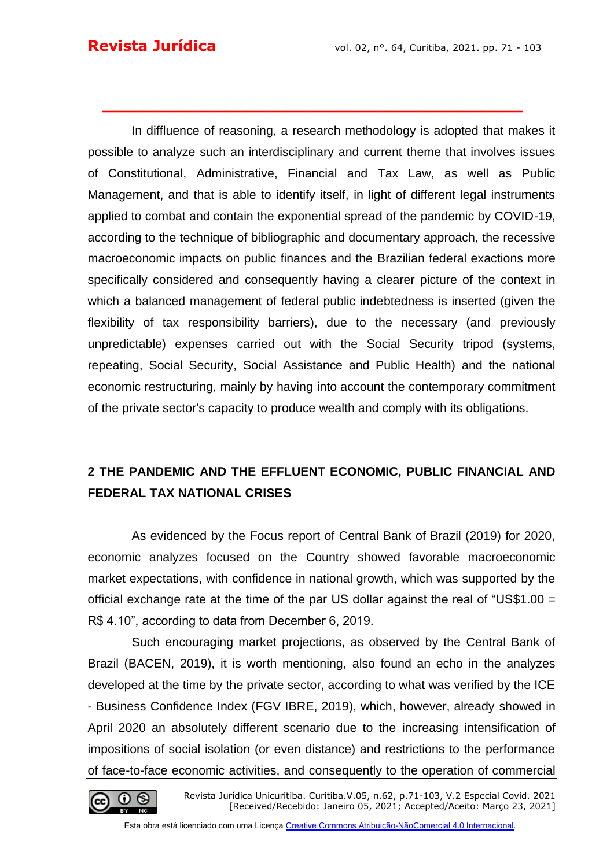In diffluence of reasoning, a research methodology is adopted that makes it possible to analyze such an interdisciplinary and current theme that involves issues of Constitutional, Administrative, Financial and Tax Law, as well as Public Management, and that is able to identify itself, in light of different legal instruments applied to combat and contain the exponential spread of the pandemic by COVID-19, according to the technique of bibliographic and documentary approach, the recessive macroeconomic impacts on public finances and the Brazilian federal exactions more specifically considered and consequently having a clearer picture of the context in which a balanced management of federal public indebtedness is inserted (given the flexibility of tax responsibility barriers), due to the necessary (and previously unpredictable) expenses carried out with the Social Security tripod (systems, repeating, Social Security, Social Assistance and Public Health) and the national economic restructuring, mainly by having into account the contemporary commitment of the private sector's capacity to produce wealth and comply with its obligations.

**\_\_\_\_\_\_\_\_\_\_\_\_\_\_\_\_\_\_\_\_\_\_\_\_\_\_\_\_\_\_\_\_\_\_\_\_\_\_\_\_\_**

## **2 THE PANDEMIC AND THE EFFLUENT ECONOMIC, PUBLIC FINANCIAL AND FEDERAL TAX NATIONAL CRISES**

As evidenced by the Focus report of Central Bank of Brazil (2019) for 2020, economic analyzes focused on the Country showed favorable macroeconomic market expectations, with confidence in national growth, which was supported by the official exchange rate at the time of the par US dollar against the real of "US\$1.00 = R\$ 4.10", according to data from December 6, 2019.

Such encouraging market projections, as observed by the Central Bank of Brazil (BACEN, 2019), it is worth mentioning, also found an echo in the analyzes developed at the time by the private sector, according to what was verified by the ICE - Business Confidence Index (FGV IBRE, 2019), which, however, already showed in April 2020 an absolutely different scenario due to the increasing intensification of impositions of social isolation (or even distance) and restrictions to the performance of face-to-face economic activities, and consequently to the operation of commercial

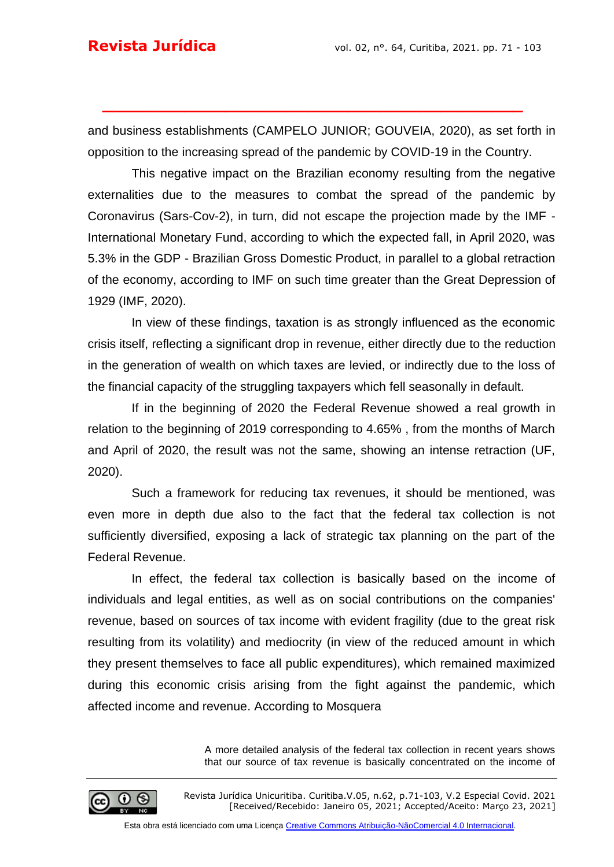and business establishments (CAMPELO JUNIOR; GOUVEIA, 2020), as set forth in opposition to the increasing spread of the pandemic by COVID-19 in the Country.

**\_\_\_\_\_\_\_\_\_\_\_\_\_\_\_\_\_\_\_\_\_\_\_\_\_\_\_\_\_\_\_\_\_\_\_\_\_\_\_\_\_**

This negative impact on the Brazilian economy resulting from the negative externalities due to the measures to combat the spread of the pandemic by Coronavirus (Sars-Cov-2), in turn, did not escape the projection made by the IMF - International Monetary Fund, according to which the expected fall, in April 2020, was 5.3% in the GDP - Brazilian Gross Domestic Product, in parallel to a global retraction of the economy, according to IMF on such time greater than the Great Depression of 1929 (IMF, 2020).

In view of these findings, taxation is as strongly influenced as the economic crisis itself, reflecting a significant drop in revenue, either directly due to the reduction in the generation of wealth on which taxes are levied, or indirectly due to the loss of the financial capacity of the struggling taxpayers which fell seasonally in default.

If in the beginning of 2020 the Federal Revenue showed a real growth in relation to the beginning of 2019 corresponding to 4.65% , from the months of March and April of 2020, the result was not the same, showing an intense retraction (UF, 2020).

Such a framework for reducing tax revenues, it should be mentioned, was even more in depth due also to the fact that the federal tax collection is not sufficiently diversified, exposing a lack of strategic tax planning on the part of the Federal Revenue.

In effect, the federal tax collection is basically based on the income of individuals and legal entities, as well as on social contributions on the companies' revenue, based on sources of tax income with evident fragility (due to the great risk resulting from its volatility) and mediocrity (in view of the reduced amount in which they present themselves to face all public expenditures), which remained maximized during this economic crisis arising from the fight against the pandemic, which affected income and revenue. According to Mosquera

> A more detailed analysis of the federal tax collection in recent years shows that our source of tax revenue is basically concentrated on the income of

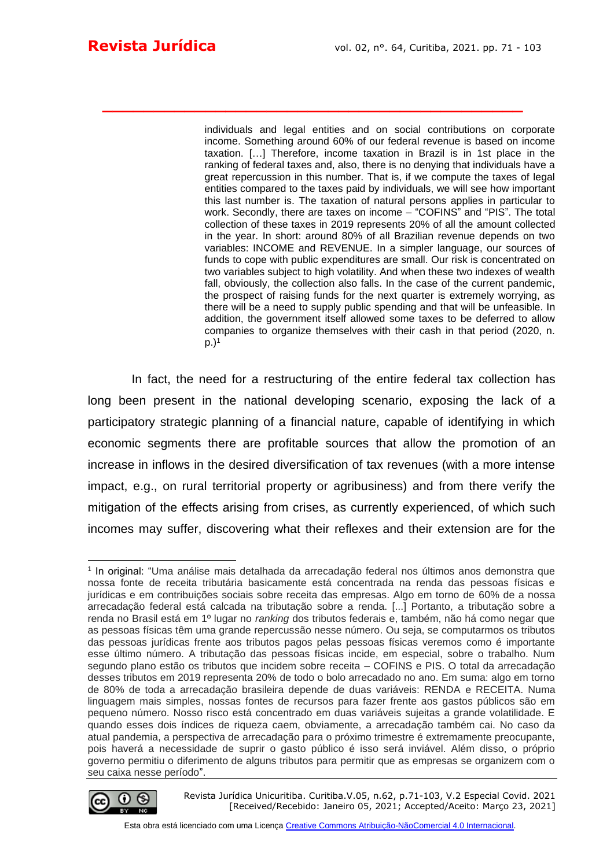individuals and legal entities and on social contributions on corporate income. Something around 60% of our federal revenue is based on income taxation. […] Therefore, income taxation in Brazil is in 1st place in the ranking of federal taxes and, also, there is no denying that individuals have a great repercussion in this number. That is, if we compute the taxes of legal entities compared to the taxes paid by individuals, we will see how important this last number is. The taxation of natural persons applies in particular to work. Secondly, there are taxes on income – "COFINS" and "PIS". The total collection of these taxes in 2019 represents 20% of all the amount collected in the year. In short: around 80% of all Brazilian revenue depends on two variables: INCOME and REVENUE. In a simpler language, our sources of funds to cope with public expenditures are small. Our risk is concentrated on two variables subject to high volatility. And when these two indexes of wealth fall, obviously, the collection also falls. In the case of the current pandemic, the prospect of raising funds for the next quarter is extremely worrying, as there will be a need to supply public spending and that will be unfeasible. In addition, the government itself allowed some taxes to be deferred to allow companies to organize themselves with their cash in that period (2020, n.  $p.$ )<sup>1</sup>

In fact, the need for a restructuring of the entire federal tax collection has long been present in the national developing scenario, exposing the lack of a participatory strategic planning of a financial nature, capable of identifying in which economic segments there are profitable sources that allow the promotion of an increase in inflows in the desired diversification of tax revenues (with a more intense impact, e.g., on rural territorial property or agribusiness) and from there verify the mitigation of the effects arising from crises, as currently experienced, of which such incomes may suffer, discovering what their reflexes and their extension are for the

**\_\_\_\_\_\_\_\_\_\_\_\_\_\_\_\_\_\_\_\_\_\_\_\_\_\_\_\_\_\_\_\_\_\_\_\_\_\_\_\_\_**

<sup>1</sup> In original: "Uma análise mais detalhada da arrecadação federal nos últimos anos demonstra que nossa fonte de receita tributária basicamente está concentrada na renda das pessoas físicas e jurídicas e em contribuições sociais sobre receita das empresas. Algo em torno de 60% de a nossa arrecadação federal está calcada na tributação sobre a renda. [...] Portanto, a tributação sobre a renda no Brasil está em 1º lugar no *ranking* dos tributos federais e, também, não há como negar que as pessoas físicas têm uma grande repercussão nesse número. Ou seja, se computarmos os tributos das pessoas jurídicas frente aos tributos pagos pelas pessoas físicas veremos como é importante esse último número. A tributação das pessoas físicas incide, em especial, sobre o trabalho. Num segundo plano estão os tributos que incidem sobre receita – COFINS e PIS. O total da arrecadação desses tributos em 2019 representa 20% de todo o bolo arrecadado no ano. Em suma: algo em torno de 80% de toda a arrecadação brasileira depende de duas variáveis: RENDA e RECEITA. Numa linguagem mais simples, nossas fontes de recursos para fazer frente aos gastos públicos são em pequeno número. Nosso risco está concentrado em duas variáveis sujeitas a grande volatilidade. E quando esses dois índices de riqueza caem, obviamente, a arrecadação também cai. No caso da atual pandemia, a perspectiva de arrecadação para o próximo trimestre é extremamente preocupante, pois haverá a necessidade de suprir o gasto público é isso será inviável. Além disso, o próprio governo permitiu o diferimento de alguns tributos para permitir que as empresas se organizem com o seu caixa nesse período".



Revista Jurídica Unicuritiba. Curitiba.V.05, n.62, p.71-103, V.2 Especial Covid. 2021 [Received/Recebido: Janeiro 05, 2021; Accepted/Aceito: Março 23, 2021]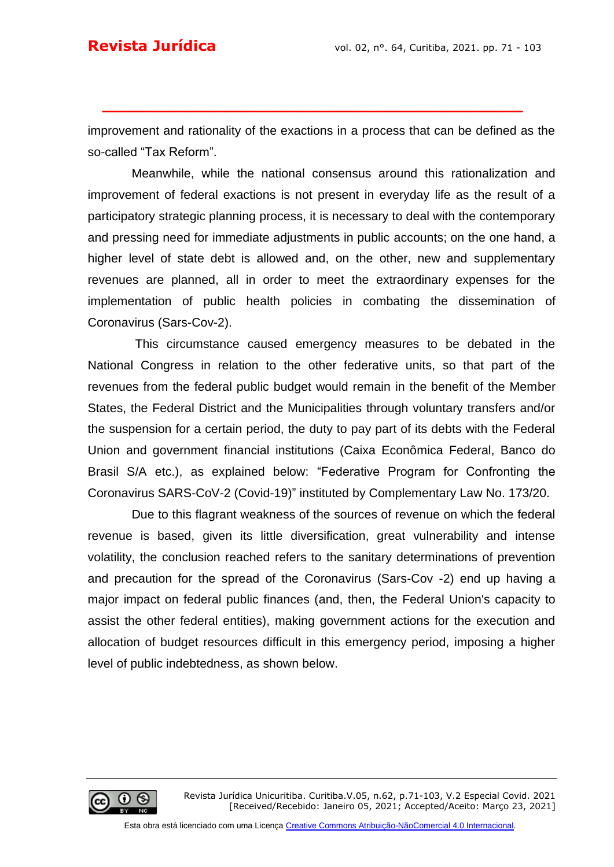improvement and rationality of the exactions in a process that can be defined as the so-called "Tax Reform".

**\_\_\_\_\_\_\_\_\_\_\_\_\_\_\_\_\_\_\_\_\_\_\_\_\_\_\_\_\_\_\_\_\_\_\_\_\_\_\_\_\_**

Meanwhile, while the national consensus around this rationalization and improvement of federal exactions is not present in everyday life as the result of a participatory strategic planning process, it is necessary to deal with the contemporary and pressing need for immediate adjustments in public accounts; on the one hand, a higher level of state debt is allowed and, on the other, new and supplementary revenues are planned, all in order to meet the extraordinary expenses for the implementation of public health policies in combating the dissemination of Coronavirus (Sars-Cov-2).

This circumstance caused emergency measures to be debated in the National Congress in relation to the other federative units, so that part of the revenues from the federal public budget would remain in the benefit of the Member States, the Federal District and the Municipalities through voluntary transfers and/or the suspension for a certain period, the duty to pay part of its debts with the Federal Union and government financial institutions (Caixa Econômica Federal, Banco do Brasil S/A etc.), as explained below: "Federative Program for Confronting the Coronavirus SARS-CoV-2 (Covid-19)" instituted by Complementary Law No. 173/20.

Due to this flagrant weakness of the sources of revenue on which the federal revenue is based, given its little diversification, great vulnerability and intense volatility, the conclusion reached refers to the sanitary determinations of prevention and precaution for the spread of the Coronavirus (Sars-Cov -2) end up having a major impact on federal public finances (and, then, the Federal Union's capacity to assist the other federal entities), making government actions for the execution and allocation of budget resources difficult in this emergency period, imposing a higher level of public indebtedness, as shown below.

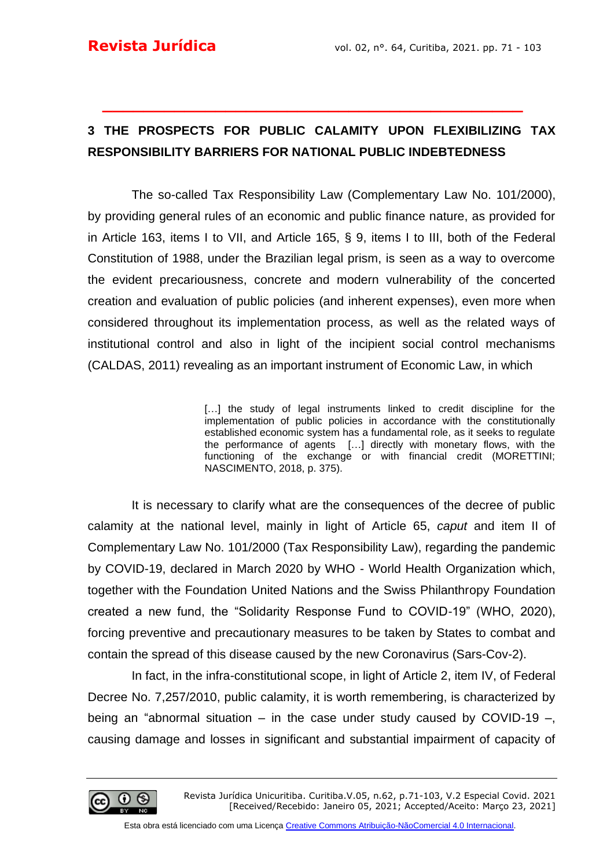## **3 THE PROSPECTS FOR PUBLIC CALAMITY UPON FLEXIBILIZING TAX RESPONSIBILITY BARRIERS FOR NATIONAL PUBLIC INDEBTEDNESS**

**\_\_\_\_\_\_\_\_\_\_\_\_\_\_\_\_\_\_\_\_\_\_\_\_\_\_\_\_\_\_\_\_\_\_\_\_\_\_\_\_\_**

The so-called Tax Responsibility Law (Complementary Law No. 101/2000), by providing general rules of an economic and public finance nature, as provided for in Article 163, items I to VII, and Article 165, § 9, items I to III, both of the Federal Constitution of 1988, under the Brazilian legal prism, is seen as a way to overcome the evident precariousness, concrete and modern vulnerability of the concerted creation and evaluation of public policies (and inherent expenses), even more when considered throughout its implementation process, as well as the related ways of institutional control and also in light of the incipient social control mechanisms (CALDAS, 2011) revealing as an important instrument of Economic Law, in which

> [...] the study of legal instruments linked to credit discipline for the implementation of public policies in accordance with the constitutionally established economic system has a fundamental role, as it seeks to regulate the performance of agents […] directly with monetary flows, with the functioning of the exchange or with financial credit (MORETTINI; NASCIMENTO, 2018, p. 375).

It is necessary to clarify what are the consequences of the decree of public calamity at the national level, mainly in light of Article 65, *caput* and item II of Complementary Law No. 101/2000 (Tax Responsibility Law), regarding the pandemic by COVID-19, declared in March 2020 by WHO - World Health Organization which, together with the Foundation United Nations and the Swiss Philanthropy Foundation created a new fund, the "Solidarity Response Fund to COVID-19" (WHO, 2020), forcing preventive and precautionary measures to be taken by States to combat and contain the spread of this disease caused by the new Coronavirus (Sars-Cov-2).

In fact, in the infra-constitutional scope, in light of Article 2, item IV, of Federal Decree No. 7,257/2010, public calamity, it is worth remembering, is characterized by being an "abnormal situation *–* in the case under study caused by COVID-19 *–*, causing damage and losses in significant and substantial impairment of capacity of

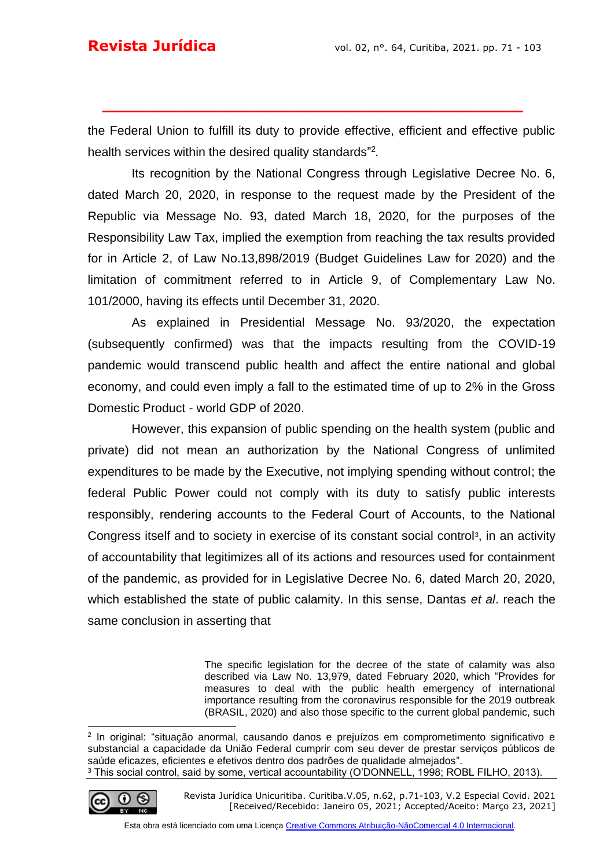the Federal Union to fulfill its duty to provide effective, efficient and effective public health services within the desired quality standards" 2 *.*

**\_\_\_\_\_\_\_\_\_\_\_\_\_\_\_\_\_\_\_\_\_\_\_\_\_\_\_\_\_\_\_\_\_\_\_\_\_\_\_\_\_**

Its recognition by the National Congress through Legislative Decree No. 6, dated March 20, 2020, in response to the request made by the President of the Republic via Message No. 93, dated March 18, 2020, for the purposes of the Responsibility Law Tax, implied the exemption from reaching the tax results provided for in Article 2, of Law No.13,898/2019 (Budget Guidelines Law for 2020) and the limitation of commitment referred to in Article 9, of Complementary Law No. 101/2000, having its effects until December 31, 2020.

As explained in Presidential Message No. 93/2020, the expectation (subsequently confirmed) was that the impacts resulting from the COVID-19 pandemic would transcend public health and affect the entire national and global economy, and could even imply a fall to the estimated time of up to 2% in the Gross Domestic Product - world GDP of 2020.

However, this expansion of public spending on the health system (public and private) did not mean an authorization by the National Congress of unlimited expenditures to be made by the Executive, not implying spending without control; the federal Public Power could not comply with its duty to satisfy public interests responsibly, rendering accounts to the Federal Court of Accounts, to the National Congress itself and to society in exercise of its constant social control<sup>3</sup>, in an activity of accountability that legitimizes all of its actions and resources used for containment of the pandemic, as provided for in Legislative Decree No. 6, dated March 20, 2020, which established the state of public calamity. In this sense, Dantas *et al*. reach the same conclusion in asserting that

> The specific legislation for the decree of the state of calamity was also described via Law No. 13,979, dated February 2020, which "Provides for measures to deal with the public health emergency of international importance resulting from the coronavirus responsible for the 2019 outbreak (BRASIL, 2020) and also those specific to the current global pandemic, such

<sup>2</sup> In original: "situação anormal, causando danos e prejuízos em comprometimento significativo e substancial a capacidade da União Federal cumprir com seu dever de prestar serviços públicos de saúde eficazes, eficientes e efetivos dentro dos padrões de qualidade almejados". <sup>3</sup> This social control, said by some, vertical accountability (O'DONNELL, 1998; ROBL FILHO, 2013).



Revista Jurídica Unicuritiba. Curitiba.V.05, n.62, p.71-103, V.2 Especial Covid. 2021 [Received/Recebido: Janeiro 05, 2021; Accepted/Aceito: Março 23, 2021]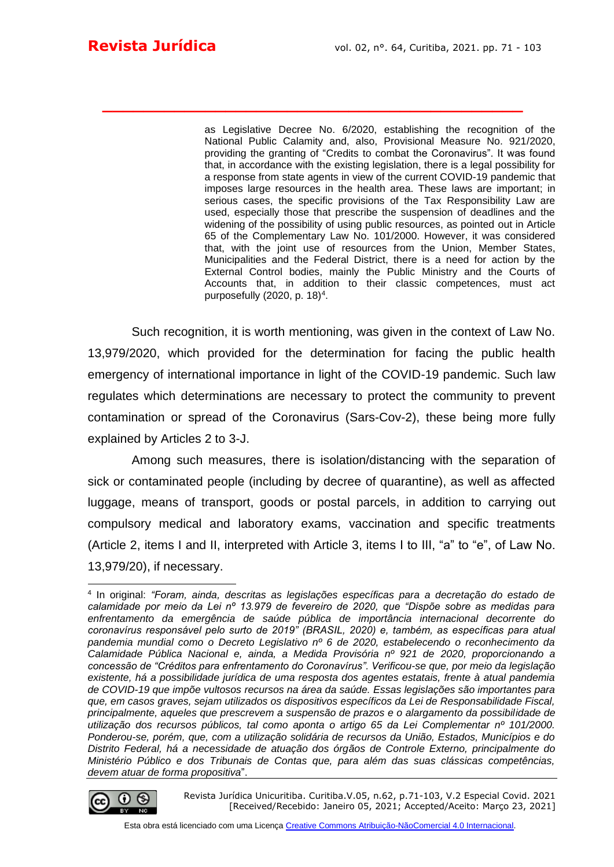as Legislative Decree No. 6/2020, establishing the recognition of the National Public Calamity and, also, Provisional Measure No. 921/2020, providing the granting of "Credits to combat the Coronavirus". It was found that, in accordance with the existing legislation, there is a legal possibility for a response from state agents in view of the current COVID-19 pandemic that imposes large resources in the health area. These laws are important; in serious cases, the specific provisions of the Tax Responsibility Law are used, especially those that prescribe the suspension of deadlines and the widening of the possibility of using public resources, as pointed out in Article 65 of the Complementary Law No. 101/2000. However, it was considered that, with the joint use of resources from the Union, Member States, Municipalities and the Federal District, there is a need for action by the External Control bodies, mainly the Public Ministry and the Courts of Accounts that, in addition to their classic competences, must act purposefully (2020, p. 18)<sup>4</sup>.

Such recognition, it is worth mentioning, was given in the context of Law No. 13,979/2020, which provided for the determination for facing the public health emergency of international importance in light of the COVID-19 pandemic. Such law regulates which determinations are necessary to protect the community to prevent contamination or spread of the Coronavirus (Sars-Cov-2), these being more fully explained by Articles 2 to 3-J.

**\_\_\_\_\_\_\_\_\_\_\_\_\_\_\_\_\_\_\_\_\_\_\_\_\_\_\_\_\_\_\_\_\_\_\_\_\_\_\_\_\_**

Among such measures, there is isolation/distancing with the separation of sick or contaminated people (including by decree of quarantine), as well as affected luggage, means of transport, goods or postal parcels, in addition to carrying out compulsory medical and laboratory exams, vaccination and specific treatments (Article 2, items I and II, interpreted with Article 3, items I to III, "a" to "e", of Law No. 13,979/20), if necessary.

<sup>4</sup> In original: *"Foram, ainda, descritas as legislações específicas para a decretação do estado de calamidade por meio da Lei nº 13.979 de fevereiro de 2020, que "Dispõe sobre as medidas para enfrentamento da emergência de saúde pública de importância internacional decorrente do coronavírus responsável pelo surto de 2019" (BRASIL, 2020) e, também, as específicas para atual pandemia mundial como o Decreto Legislativo nº 6 de 2020, estabelecendo o reconhecimento da Calamidade Pública Nacional e, ainda, a Medida Provisória nº 921 de 2020, proporcionando a concessão de "Créditos para enfrentamento do Coronavírus". Verificou-se que, por meio da legislação existente, há a possibilidade jurídica de uma resposta dos agentes estatais, frente à atual pandemia de COVID-19 que impõe vultosos recursos na área da saúde. Essas legislações são importantes para que, em casos graves, sejam utilizados os dispositivos específicos da Lei de Responsabilidade Fiscal, principalmente, aqueles que prescrevem a suspensão de prazos e o alargamento da possibilidade de utilização dos recursos públicos, tal como aponta o artigo 65 da Lei Complementar nº 101/2000. Ponderou-se, porém, que, com a utilização solidária de recursos da União, Estados, Municípios e do Distrito Federal, há a necessidade de atuação dos órgãos de Controle Externo, principalmente do Ministério Público e dos Tribunais de Contas que, para além das suas clássicas competências, devem atuar de forma propositiva*".

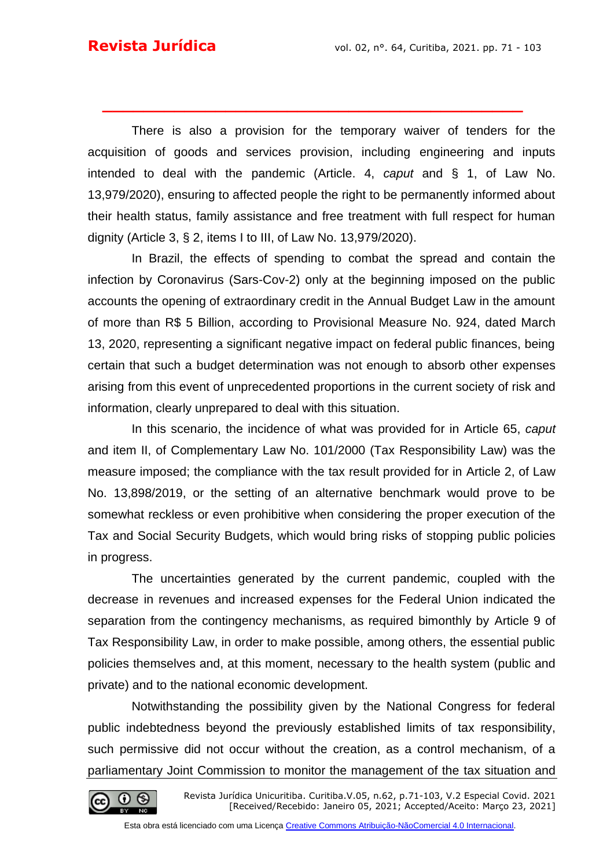There is also a provision for the temporary waiver of tenders for the acquisition of goods and services provision, including engineering and inputs intended to deal with the pandemic (Article. 4, *caput* and § 1, of Law No. 13,979/2020), ensuring to affected people the right to be permanently informed about their health status, family assistance and free treatment with full respect for human dignity (Article 3, § 2, items I to III, of Law No. 13,979/2020).

**\_\_\_\_\_\_\_\_\_\_\_\_\_\_\_\_\_\_\_\_\_\_\_\_\_\_\_\_\_\_\_\_\_\_\_\_\_\_\_\_\_**

In Brazil, the effects of spending to combat the spread and contain the infection by Coronavirus (Sars-Cov-2) only at the beginning imposed on the public accounts the opening of extraordinary credit in the Annual Budget Law in the amount of more than R\$ 5 Billion, according to Provisional Measure No. 924, dated March 13, 2020, representing a significant negative impact on federal public finances, being certain that such a budget determination was not enough to absorb other expenses arising from this event of unprecedented proportions in the current society of risk and information, clearly unprepared to deal with this situation.

In this scenario, the incidence of what was provided for in Article 65, *caput* and item II, of Complementary Law No. 101/2000 (Tax Responsibility Law) was the measure imposed; the compliance with the tax result provided for in Article 2, of Law No. 13,898/2019, or the setting of an alternative benchmark would prove to be somewhat reckless or even prohibitive when considering the proper execution of the Tax and Social Security Budgets, which would bring risks of stopping public policies in progress.

The uncertainties generated by the current pandemic, coupled with the decrease in revenues and increased expenses for the Federal Union indicated the separation from the contingency mechanisms, as required bimonthly by Article 9 of Tax Responsibility Law, in order to make possible, among others, the essential public policies themselves and, at this moment, necessary to the health system (public and private) and to the national economic development.

Notwithstanding the possibility given by the National Congress for federal public indebtedness beyond the previously established limits of tax responsibility, such permissive did not occur without the creation, as a control mechanism, of a parliamentary Joint Commission to monitor the management of the tax situation and

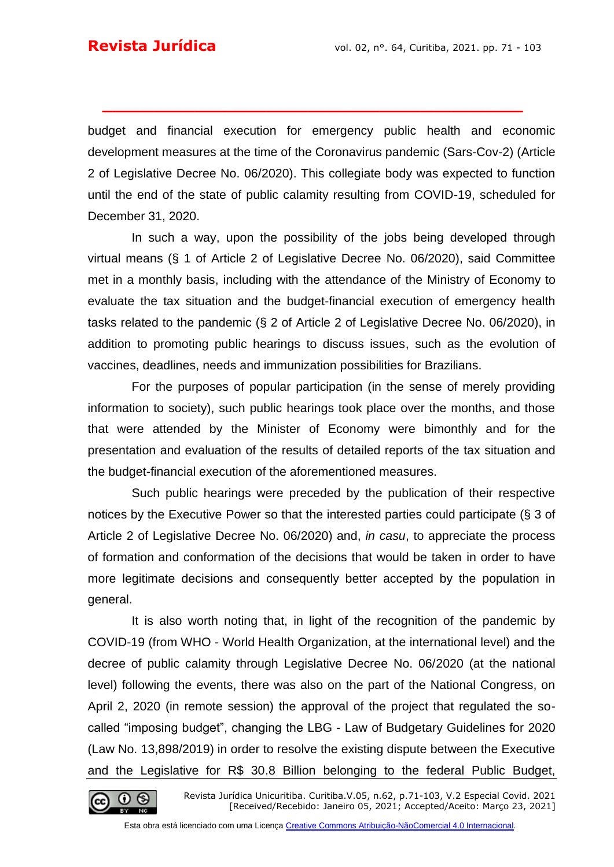budget and financial execution for emergency public health and economic development measures at the time of the Coronavirus pandemic (Sars-Cov-2) (Article 2 of Legislative Decree No. 06/2020). This collegiate body was expected to function until the end of the state of public calamity resulting from COVID-19, scheduled for December 31, 2020.

**\_\_\_\_\_\_\_\_\_\_\_\_\_\_\_\_\_\_\_\_\_\_\_\_\_\_\_\_\_\_\_\_\_\_\_\_\_\_\_\_\_**

In such a way, upon the possibility of the jobs being developed through virtual means (§ 1 of Article 2 of Legislative Decree No. 06/2020), said Committee met in a monthly basis, including with the attendance of the Ministry of Economy to evaluate the tax situation and the budget-financial execution of emergency health tasks related to the pandemic (§ 2 of Article 2 of Legislative Decree No. 06/2020), in addition to promoting public hearings to discuss issues, such as the evolution of vaccines, deadlines, needs and immunization possibilities for Brazilians.

For the purposes of popular participation (in the sense of merely providing information to society), such public hearings took place over the months, and those that were attended by the Minister of Economy were bimonthly and for the presentation and evaluation of the results of detailed reports of the tax situation and the budget-financial execution of the aforementioned measures.

Such public hearings were preceded by the publication of their respective notices by the Executive Power so that the interested parties could participate (§ 3 of Article 2 of Legislative Decree No. 06/2020) and, *in casu*, to appreciate the process of formation and conformation of the decisions that would be taken in order to have more legitimate decisions and consequently better accepted by the population in general.

It is also worth noting that, in light of the recognition of the pandemic by COVID-19 (from WHO - World Health Organization, at the international level) and the decree of public calamity through Legislative Decree No. 06/2020 (at the national level) following the events, there was also on the part of the National Congress, on April 2, 2020 (in remote session) the approval of the project that regulated the socalled "imposing budget", changing the LBG - Law of Budgetary Guidelines for 2020 (Law No. 13,898/2019) in order to resolve the existing dispute between the Executive and the Legislative for R\$ 30.8 Billion belonging to the federal Public Budget,

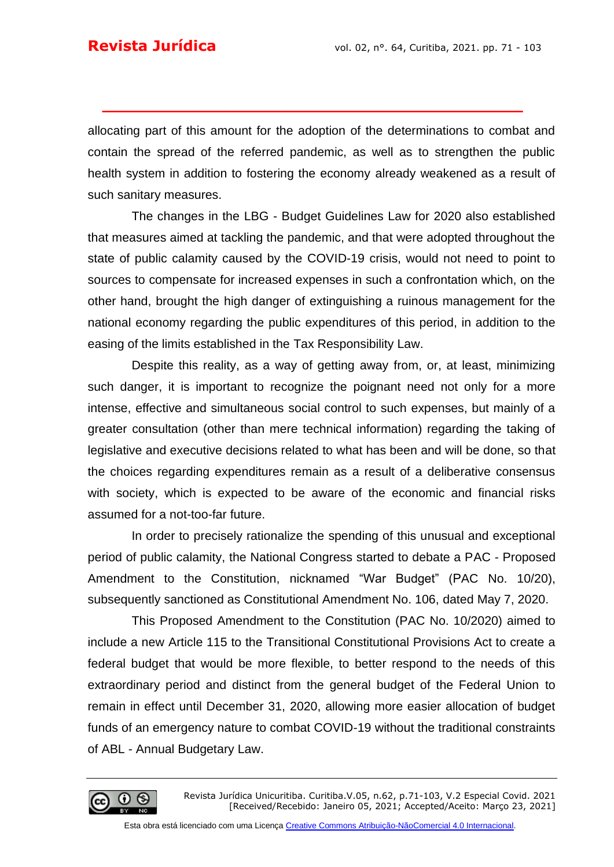allocating part of this amount for the adoption of the determinations to combat and contain the spread of the referred pandemic, as well as to strengthen the public health system in addition to fostering the economy already weakened as a result of such sanitary measures.

**\_\_\_\_\_\_\_\_\_\_\_\_\_\_\_\_\_\_\_\_\_\_\_\_\_\_\_\_\_\_\_\_\_\_\_\_\_\_\_\_\_**

The changes in the LBG - Budget Guidelines Law for 2020 also established that measures aimed at tackling the pandemic, and that were adopted throughout the state of public calamity caused by the COVID-19 crisis, would not need to point to sources to compensate for increased expenses in such a confrontation which, on the other hand, brought the high danger of extinguishing a ruinous management for the national economy regarding the public expenditures of this period, in addition to the easing of the limits established in the Tax Responsibility Law.

Despite this reality, as a way of getting away from, or, at least, minimizing such danger, it is important to recognize the poignant need not only for a more intense, effective and simultaneous social control to such expenses, but mainly of a greater consultation (other than mere technical information) regarding the taking of legislative and executive decisions related to what has been and will be done, so that the choices regarding expenditures remain as a result of a deliberative consensus with society, which is expected to be aware of the economic and financial risks assumed for a not-too-far future.

In order to precisely rationalize the spending of this unusual and exceptional period of public calamity, the National Congress started to debate a PAC - Proposed Amendment to the Constitution, nicknamed "War Budget" (PAC No. 10/20), subsequently sanctioned as Constitutional Amendment No. 106, dated May 7, 2020.

This Proposed Amendment to the Constitution (PAC No. 10/2020) aimed to include a new Article 115 to the Transitional Constitutional Provisions Act to create a federal budget that would be more flexible, to better respond to the needs of this extraordinary period and distinct from the general budget of the Federal Union to remain in effect until December 31, 2020, allowing more easier allocation of budget funds of an emergency nature to combat COVID-19 without the traditional constraints of ABL - Annual Budgetary Law.

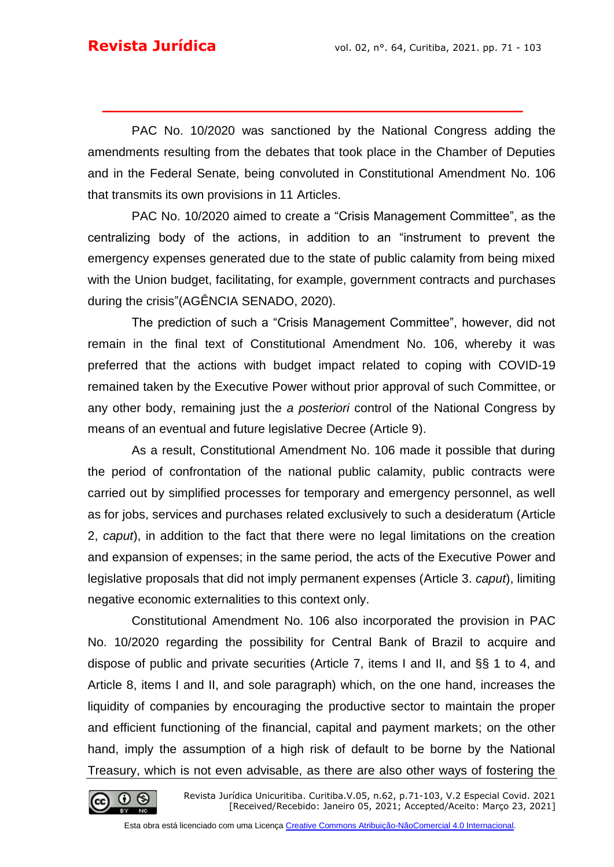PAC No. 10/2020 was sanctioned by the National Congress adding the amendments resulting from the debates that took place in the Chamber of Deputies and in the Federal Senate, being convoluted in Constitutional Amendment No. 106 that transmits its own provisions in 11 Articles.

**\_\_\_\_\_\_\_\_\_\_\_\_\_\_\_\_\_\_\_\_\_\_\_\_\_\_\_\_\_\_\_\_\_\_\_\_\_\_\_\_\_**

PAC No. 10/2020 aimed to create a "Crisis Management Committee", as the centralizing body of the actions, in addition to an "instrument to prevent the emergency expenses generated due to the state of public calamity from being mixed with the Union budget, facilitating, for example, government contracts and purchases during the crisis"(AGÊNCIA SENADO, 2020).

The prediction of such a "Crisis Management Committee", however, did not remain in the final text of Constitutional Amendment No. 106, whereby it was preferred that the actions with budget impact related to coping with COVID-19 remained taken by the Executive Power without prior approval of such Committee, or any other body, remaining just the *a posteriori* control of the National Congress by means of an eventual and future legislative Decree (Article 9).

As a result, Constitutional Amendment No. 106 made it possible that during the period of confrontation of the national public calamity, public contracts were carried out by simplified processes for temporary and emergency personnel, as well as for jobs, services and purchases related exclusively to such a desideratum (Article 2, *caput*), in addition to the fact that there were no legal limitations on the creation and expansion of expenses; in the same period, the acts of the Executive Power and legislative proposals that did not imply permanent expenses (Article 3. *caput*), limiting negative economic externalities to this context only.

Constitutional Amendment No. 106 also incorporated the provision in PAC No. 10/2020 regarding the possibility for Central Bank of Brazil to acquire and dispose of public and private securities (Article 7, items I and II, and §§ 1 to 4, and Article 8, items I and II, and sole paragraph) which, on the one hand, increases the liquidity of companies by encouraging the productive sector to maintain the proper and efficient functioning of the financial, capital and payment markets; on the other hand, imply the assumption of a high risk of default to be borne by the National Treasury, which is not even advisable, as there are also other ways of fostering the

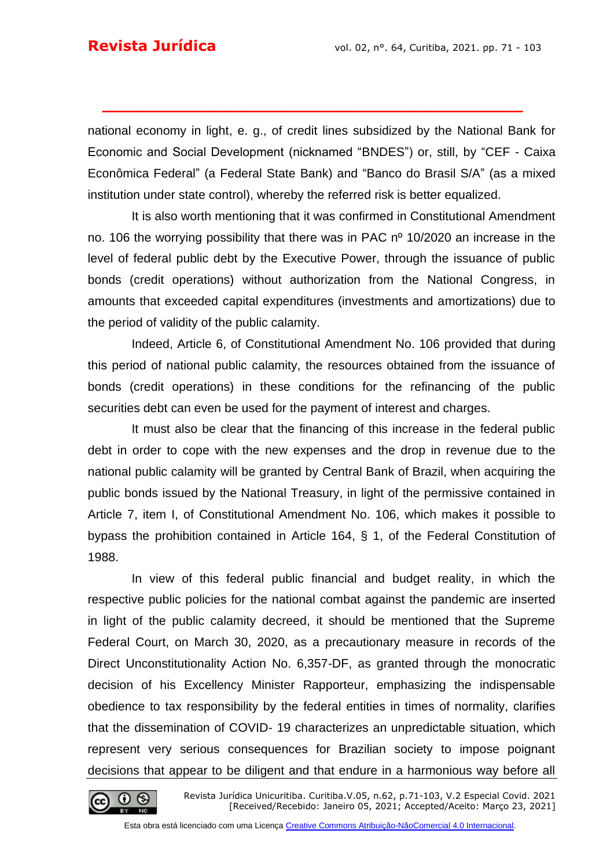national economy in light, e. g., of credit lines subsidized by the National Bank for Economic and Social Development (nicknamed "BNDES") or, still, by "CEF - Caixa Econômica Federal" (a Federal State Bank) and "Banco do Brasil S/A" (as a mixed institution under state control), whereby the referred risk is better equalized.

**\_\_\_\_\_\_\_\_\_\_\_\_\_\_\_\_\_\_\_\_\_\_\_\_\_\_\_\_\_\_\_\_\_\_\_\_\_\_\_\_\_**

It is also worth mentioning that it was confirmed in Constitutional Amendment no. 106 the worrying possibility that there was in PAC n<sup>o</sup> 10/2020 an increase in the level of federal public debt by the Executive Power, through the issuance of public bonds (credit operations) without authorization from the National Congress, in amounts that exceeded capital expenditures (investments and amortizations) due to the period of validity of the public calamity.

Indeed, Article 6, of Constitutional Amendment No. 106 provided that during this period of national public calamity, the resources obtained from the issuance of bonds (credit operations) in these conditions for the refinancing of the public securities debt can even be used for the payment of interest and charges.

It must also be clear that the financing of this increase in the federal public debt in order to cope with the new expenses and the drop in revenue due to the national public calamity will be granted by Central Bank of Brazil, when acquiring the public bonds issued by the National Treasury, in light of the permissive contained in Article 7, item I, of Constitutional Amendment No. 106, which makes it possible to bypass the prohibition contained in Article 164, § 1, of the Federal Constitution of 1988.

In view of this federal public financial and budget reality, in which the respective public policies for the national combat against the pandemic are inserted in light of the public calamity decreed, it should be mentioned that the Supreme Federal Court, on March 30, 2020, as a precautionary measure in records of the Direct Unconstitutionality Action No. 6,357-DF, as granted through the monocratic decision of his Excellency Minister Rapporteur, emphasizing the indispensable obedience to tax responsibility by the federal entities in times of normality, clarifies that the dissemination of COVID- 19 characterizes an unpredictable situation, which represent very serious consequences for Brazilian society to impose poignant decisions that appear to be diligent and that endure in a harmonious way before all

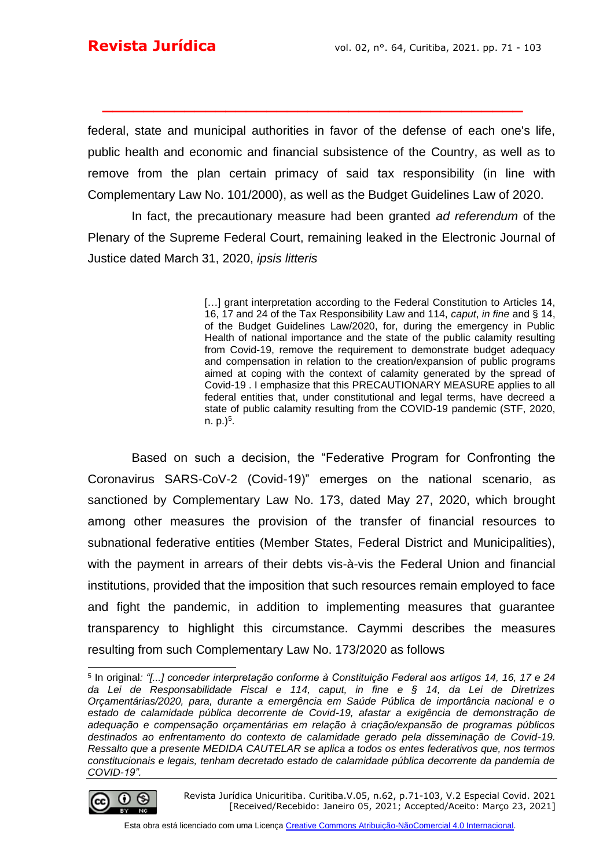federal, state and municipal authorities in favor of the defense of each one's life, public health and economic and financial subsistence of the Country, as well as to remove from the plan certain primacy of said tax responsibility (in line with Complementary Law No. 101/2000), as well as the Budget Guidelines Law of 2020.

**\_\_\_\_\_\_\_\_\_\_\_\_\_\_\_\_\_\_\_\_\_\_\_\_\_\_\_\_\_\_\_\_\_\_\_\_\_\_\_\_\_**

In fact, the precautionary measure had been granted *ad referendum* of the Plenary of the Supreme Federal Court, remaining leaked in the Electronic Journal of Justice dated March 31, 2020, *ipsis litteris*

> [...] grant interpretation according to the Federal Constitution to Articles 14, 16, 17 and 24 of the Tax Responsibility Law and 114, *caput*, *in fine* and § 14, of the Budget Guidelines Law/2020, for, during the emergency in Public Health of national importance and the state of the public calamity resulting from Covid-19, remove the requirement to demonstrate budget adequacy and compensation in relation to the creation/expansion of public programs aimed at coping with the context of calamity generated by the spread of Covid-19 . I emphasize that this PRECAUTIONARY MEASURE applies to all federal entities that, under constitutional and legal terms, have decreed a state of public calamity resulting from the COVID-19 pandemic (STF, 2020, n. p.)<sup>5</sup>.

Based on such a decision, the "Federative Program for Confronting the Coronavirus SARS-CoV-2 (Covid-19)" emerges on the national scenario, as sanctioned by Complementary Law No. 173, dated May 27, 2020, which brought among other measures the provision of the transfer of financial resources to subnational federative entities (Member States, Federal District and Municipalities), with the payment in arrears of their debts vis-à-vis the Federal Union and financial institutions, provided that the imposition that such resources remain employed to face and fight the pandemic, in addition to implementing measures that guarantee transparency to highlight this circumstance. Caymmi describes the measures resulting from such Complementary Law No. 173/2020 as follows

<sup>5</sup> In original*: "[...] conceder interpretação conforme à Constituição Federal aos artigos 14, 16, 17 e 24 da Lei de Responsabilidade Fiscal e 114, caput, in fine e § 14, da Lei de Diretrizes Orçamentárias/2020, para, durante a emergência em Saúde Pública de importância nacional e o estado de calamidade pública decorrente de Covid-19, afastar a exigência de demonstração de adequação e compensação orçamentárias em relação à criação/expansão de programas públicos destinados ao enfrentamento do contexto de calamidade gerado pela disseminação de Covid-19. Ressalto que a presente MEDIDA CAUTELAR se aplica a todos os entes federativos que, nos termos constitucionais e legais, tenham decretado estado de calamidade pública decorrente da pandemia de COVID-19".*

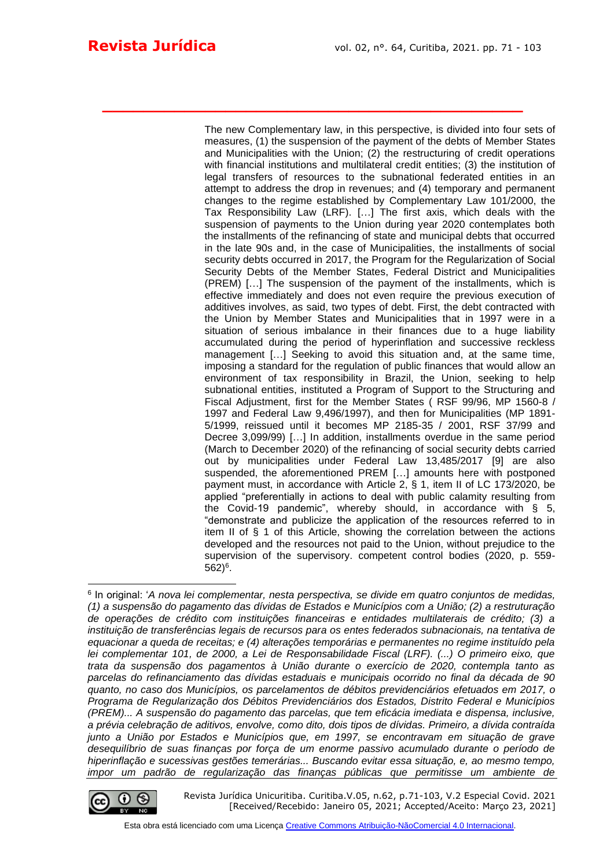The new Complementary law, in this perspective, is divided into four sets of measures, (1) the suspension of the payment of the debts of Member States and Municipalities with the Union; (2) the restructuring of credit operations with financial institutions and multilateral credit entities; (3) the institution of legal transfers of resources to the subnational federated entities in an attempt to address the drop in revenues; and (4) temporary and permanent changes to the regime established by Complementary Law 101/2000, the Tax Responsibility Law (LRF). […] The first axis, which deals with the suspension of payments to the Union during year 2020 contemplates both the installments of the refinancing of state and municipal debts that occurred in the late 90s and, in the case of Municipalities, the installments of social security debts occurred in 2017, the Program for the Regularization of Social Security Debts of the Member States, Federal District and Municipalities (PREM) […] The suspension of the payment of the installments, which is effective immediately and does not even require the previous execution of additives involves, as said, two types of debt. First, the debt contracted with the Union by Member States and Municipalities that in 1997 were in a situation of serious imbalance in their finances due to a huge liability accumulated during the period of hyperinflation and successive reckless management […] Seeking to avoid this situation and, at the same time, imposing a standard for the regulation of public finances that would allow an environment of tax responsibility in Brazil, the Union, seeking to help subnational entities, instituted a Program of Support to the Structuring and Fiscal Adjustment, first for the Member States ( RSF 99/96, MP 1560-8 / 1997 and Federal Law 9,496/1997), and then for Municipalities (MP 1891- 5/1999, reissued until it becomes MP 2185-35 / 2001, RSF 37/99 and Decree 3,099/99) […] In addition, installments overdue in the same period (March to December 2020) of the refinancing of social security debts carried out by municipalities under Federal Law 13,485/2017 [9] are also suspended, the aforementioned PREM […] amounts here with postponed payment must, in accordance with Article 2, § 1, item II of LC 173/2020, be applied "preferentially in actions to deal with public calamity resulting from the Covid-19 pandemic", whereby should, in accordance with § 5, "demonstrate and publicize the application of the resources referred to in item II of § 1 of this Article, showing the correlation between the actions developed and the resources not paid to the Union, without prejudice to the supervision of the supervisory. competent control bodies (2020, p. 559- 562)<sup>6</sup> .

**\_\_\_\_\_\_\_\_\_\_\_\_\_\_\_\_\_\_\_\_\_\_\_\_\_\_\_\_\_\_\_\_\_\_\_\_\_\_\_\_\_**

<sup>6</sup> In original: '*A nova lei complementar, nesta perspectiva, se divide em quatro conjuntos de medidas, (1) a suspensão do pagamento das dívidas de Estados e Municípios com a União; (2) a restruturação de operações de crédito com instituições financeiras e entidades multilaterais de crédito; (3) a instituição de transferências legais de recursos para os entes federados subnacionais, na tentativa de equacionar a queda de receitas; e (4) alterações temporárias e permanentes no regime instituído pela lei complementar 101, de 2000, a Lei de Responsabilidade Fiscal (LRF). (...) O primeiro eixo, que trata da suspensão dos pagamentos à União durante o exercício de 2020, contempla tanto as parcelas do refinanciamento das dívidas estaduais e municipais ocorrido no final da década de 90 quanto, no caso dos Municípios, os parcelamentos de débitos previdenciários efetuados em 2017, o Programa de Regularização dos Débitos Previdenciários dos Estados, Distrito Federal e Municípios (PREM)... A suspensão do pagamento das parcelas, que tem eficácia imediata e dispensa, inclusive, a prévia celebração de aditivos, envolve, como dito, dois tipos de dívidas. Primeiro, a dívida contraída junto a União por Estados e Municípios que, em 1997, se encontravam em situação de grave desequilíbrio de suas finanças por força de um enorme passivo acumulado durante o período de hiperinflação e sucessivas gestões temerárias... Buscando evitar essa situação, e, ao mesmo tempo, impor um padrão de regularização das finanças públicas que permitisse um ambiente de* 



Revista Jurídica Unicuritiba. Curitiba.V.05, n.62, p.71-103, V.2 Especial Covid. 2021 [Received/Recebido: Janeiro 05, 2021; Accepted/Aceito: Março 23, 2021]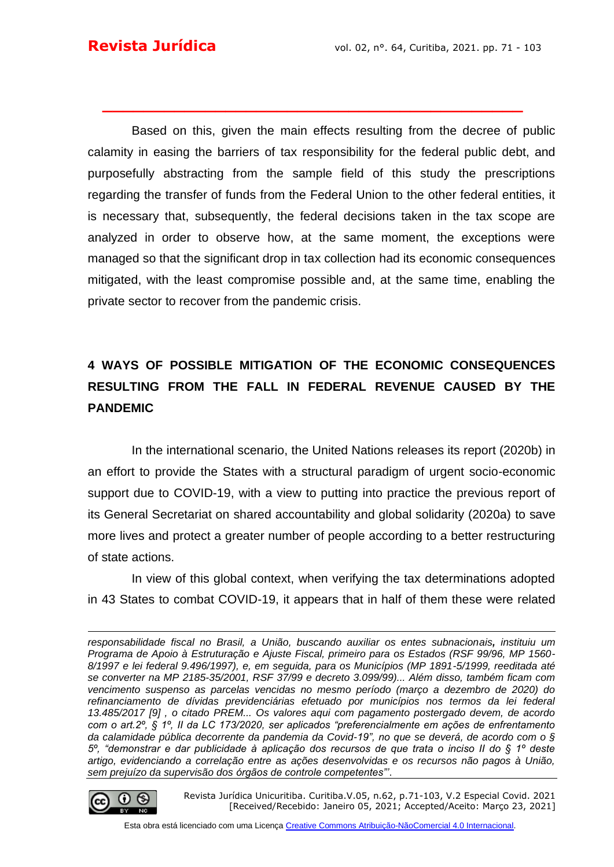Based on this, given the main effects resulting from the decree of public calamity in easing the barriers of tax responsibility for the federal public debt, and purposefully abstracting from the sample field of this study the prescriptions regarding the transfer of funds from the Federal Union to the other federal entities, it is necessary that, subsequently, the federal decisions taken in the tax scope are analyzed in order to observe how, at the same moment, the exceptions were managed so that the significant drop in tax collection had its economic consequences mitigated, with the least compromise possible and, at the same time, enabling the private sector to recover from the pandemic crisis.

**\_\_\_\_\_\_\_\_\_\_\_\_\_\_\_\_\_\_\_\_\_\_\_\_\_\_\_\_\_\_\_\_\_\_\_\_\_\_\_\_\_**

## **4 WAYS OF POSSIBLE MITIGATION OF THE ECONOMIC CONSEQUENCES RESULTING FROM THE FALL IN FEDERAL REVENUE CAUSED BY THE PANDEMIC**

In the international scenario, the United Nations releases its report (2020b) in an effort to provide the States with a structural paradigm of urgent socio-economic support due to COVID-19, with a view to putting into practice the previous report of its General Secretariat on shared accountability and global solidarity (2020a) to save more lives and protect a greater number of people according to a better restructuring of state actions.

In view of this global context, when verifying the tax determinations adopted in 43 States to combat COVID-19, it appears that in half of them these were related

*responsabilidade fiscal no Brasil, a União, buscando auxiliar os entes subnacionais, instituiu um Programa de Apoio à Estruturação e Ajuste Fiscal, primeiro para os Estados (RSF 99/96, MP 1560- 8/1997 e lei federal 9.496/1997), e, em seguida, para os Municípios (MP 1891-5/1999, reeditada até se converter na MP 2185-35/2001, RSF 37/99 e decreto 3.099/99)... Além disso, também ficam com vencimento suspenso as parcelas vencidas no mesmo período (março a dezembro de 2020) do refinanciamento de dívidas previdenciárias efetuado por municípios nos termos da lei federal 13.485/2017 [9] , o citado PREM... Os valores aqui com pagamento postergado devem, de acordo com o art.2º, § 1º, II da LC 173/2020, ser aplicados "preferencialmente em ações de enfrentamento da calamidade pública decorrente da pandemia da Covid-19", no que se deverá, de acordo com o § 5º, "demonstrar e dar publicidade à aplicação dos recursos de que trata o inciso II do § 1º deste artigo, evidenciando a correlação entre as ações desenvolvidas e os recursos não pagos à União, sem prejuízo da supervisão dos órgãos de controle competentes"'*.



Revista Jurídica Unicuritiba. Curitiba.V.05, n.62, p.71-103, V.2 Especial Covid. 2021 [Received/Recebido: Janeiro 05, 2021; Accepted/Aceito: Março 23, 2021]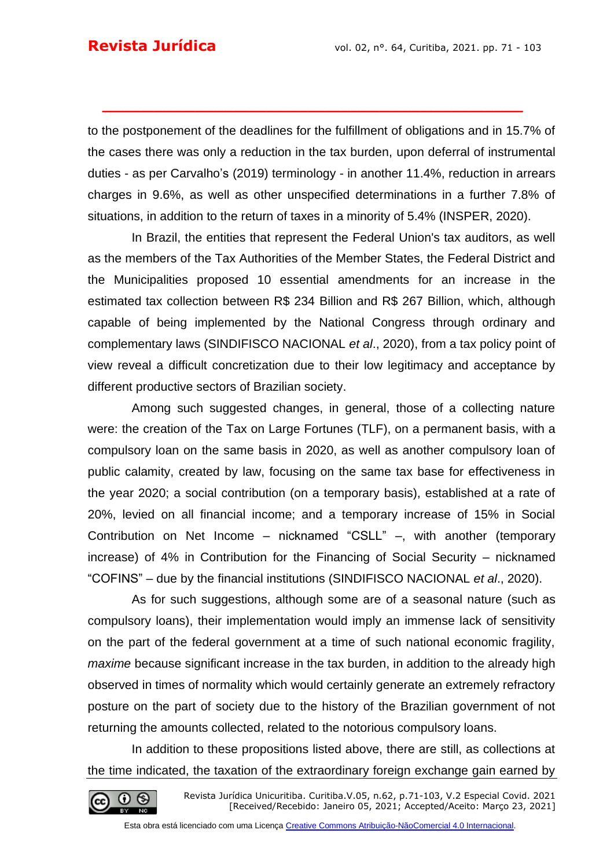to the postponement of the deadlines for the fulfillment of obligations and in 15.7% of the cases there was only a reduction in the tax burden, upon deferral of instrumental duties - as per Carvalho's (2019) terminology - in another 11.4%, reduction in arrears charges in 9.6%, as well as other unspecified determinations in a further 7.8% of situations, in addition to the return of taxes in a minority of 5.4% (INSPER, 2020).

**\_\_\_\_\_\_\_\_\_\_\_\_\_\_\_\_\_\_\_\_\_\_\_\_\_\_\_\_\_\_\_\_\_\_\_\_\_\_\_\_\_**

In Brazil, the entities that represent the Federal Union's tax auditors, as well as the members of the Tax Authorities of the Member States, the Federal District and the Municipalities proposed 10 essential amendments for an increase in the estimated tax collection between R\$ 234 Billion and R\$ 267 Billion, which, although capable of being implemented by the National Congress through ordinary and complementary laws (SINDIFISCO NACIONAL *et al*., 2020), from a tax policy point of view reveal a difficult concretization due to their low legitimacy and acceptance by different productive sectors of Brazilian society.

Among such suggested changes, in general, those of a collecting nature were: the creation of the Tax on Large Fortunes (TLF), on a permanent basis, with a compulsory loan on the same basis in 2020, as well as another compulsory loan of public calamity, created by law, focusing on the same tax base for effectiveness in the year 2020; a social contribution (on a temporary basis), established at a rate of 20%, levied on all financial income; and a temporary increase of 15% in Social Contribution on Net Income – nicknamed "CSLL" –, with another (temporary increase) of 4% in Contribution for the Financing of Social Security – nicknamed "COFINS" – due by the financial institutions (SINDIFISCO NACIONAL *et al*., 2020).

As for such suggestions, although some are of a seasonal nature (such as compulsory loans), their implementation would imply an immense lack of sensitivity on the part of the federal government at a time of such national economic fragility, *maxime* because significant increase in the tax burden, in addition to the already high observed in times of normality which would certainly generate an extremely refractory posture on the part of society due to the history of the Brazilian government of not returning the amounts collected, related to the notorious compulsory loans.

In addition to these propositions listed above, there are still, as collections at the time indicated, the taxation of the extraordinary foreign exchange gain earned by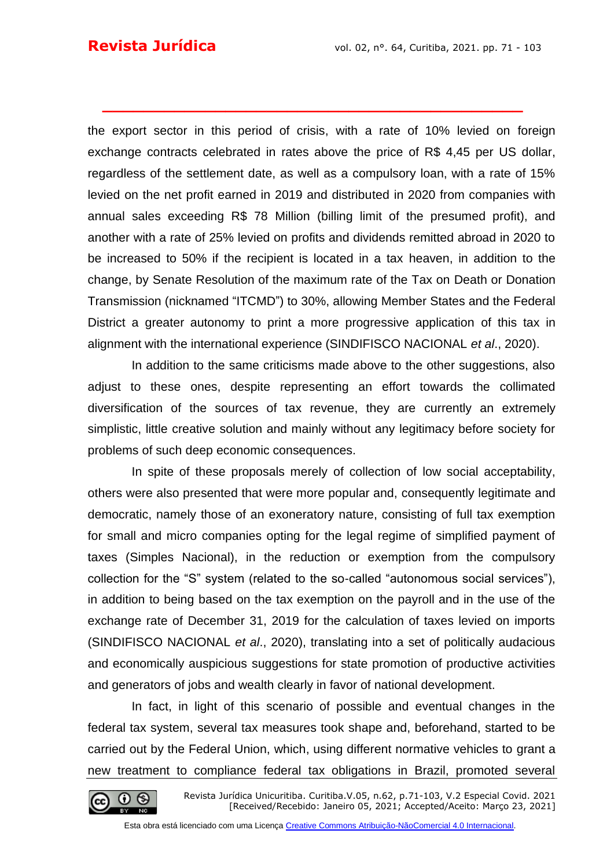the export sector in this period of crisis, with a rate of 10% levied on foreign exchange contracts celebrated in rates above the price of R\$ 4,45 per US dollar, regardless of the settlement date, as well as a compulsory loan, with a rate of 15% levied on the net profit earned in 2019 and distributed in 2020 from companies with annual sales exceeding R\$ 78 Million (billing limit of the presumed profit), and another with a rate of 25% levied on profits and dividends remitted abroad in 2020 to be increased to 50% if the recipient is located in a tax heaven, in addition to the change, by Senate Resolution of the maximum rate of the Tax on Death or Donation Transmission (nicknamed "ITCMD") to 30%, allowing Member States and the Federal District a greater autonomy to print a more progressive application of this tax in alignment with the international experience (SINDIFISCO NACIONAL *et al*., 2020).

**\_\_\_\_\_\_\_\_\_\_\_\_\_\_\_\_\_\_\_\_\_\_\_\_\_\_\_\_\_\_\_\_\_\_\_\_\_\_\_\_\_**

In addition to the same criticisms made above to the other suggestions, also adjust to these ones, despite representing an effort towards the collimated diversification of the sources of tax revenue, they are currently an extremely simplistic, little creative solution and mainly without any legitimacy before society for problems of such deep economic consequences.

In spite of these proposals merely of collection of low social acceptability, others were also presented that were more popular and, consequently legitimate and democratic, namely those of an exoneratory nature, consisting of full tax exemption for small and micro companies opting for the legal regime of simplified payment of taxes (Simples Nacional), in the reduction or exemption from the compulsory collection for the "S" system (related to the so-called "autonomous social services"), in addition to being based on the tax exemption on the payroll and in the use of the exchange rate of December 31, 2019 for the calculation of taxes levied on imports (SINDIFISCO NACIONAL *et al*., 2020), translating into a set of politically audacious and economically auspicious suggestions for state promotion of productive activities and generators of jobs and wealth clearly in favor of national development.

In fact, in light of this scenario of possible and eventual changes in the federal tax system, several tax measures took shape and, beforehand, started to be carried out by the Federal Union, which, using different normative vehicles to grant a new treatment to compliance federal tax obligations in Brazil, promoted several

Revista Jurídica Unicuritiba. Curitiba.V.05, n.62, p.71-103, V.2 Especial Covid. 2021 [Received/Recebido: Janeiro 05, 2021; Accepted/Aceito: Março 23, 2021]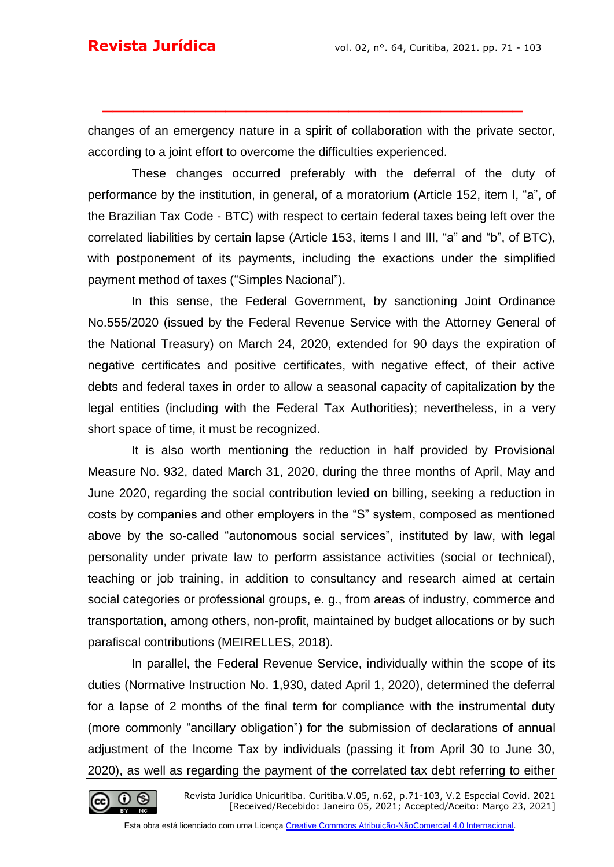changes of an emergency nature in a spirit of collaboration with the private sector, according to a joint effort to overcome the difficulties experienced.

**\_\_\_\_\_\_\_\_\_\_\_\_\_\_\_\_\_\_\_\_\_\_\_\_\_\_\_\_\_\_\_\_\_\_\_\_\_\_\_\_\_**

These changes occurred preferably with the deferral of the duty of performance by the institution, in general, of a moratorium (Article 152, item I, "a", of the Brazilian Tax Code - BTC) with respect to certain federal taxes being left over the correlated liabilities by certain lapse (Article 153, items I and III, "a" and "b", of BTC), with postponement of its payments, including the exactions under the simplified payment method of taxes ("Simples Nacional").

In this sense, the Federal Government, by sanctioning Joint Ordinance No.555/2020 (issued by the Federal Revenue Service with the Attorney General of the National Treasury) on March 24, 2020, extended for 90 days the expiration of negative certificates and positive certificates, with negative effect, of their active debts and federal taxes in order to allow a seasonal capacity of capitalization by the legal entities (including with the Federal Tax Authorities); nevertheless, in a very short space of time, it must be recognized.

It is also worth mentioning the reduction in half provided by Provisional Measure No. 932, dated March 31, 2020, during the three months of April, May and June 2020, regarding the social contribution levied on billing, seeking a reduction in costs by companies and other employers in the "S" system, composed as mentioned above by the so-called "autonomous social services", instituted by law, with legal personality under private law to perform assistance activities (social or technical), teaching or job training, in addition to consultancy and research aimed at certain social categories or professional groups, e. g., from areas of industry, commerce and transportation, among others, non-profit, maintained by budget allocations or by such parafiscal contributions (MEIRELLES, 2018).

In parallel, the Federal Revenue Service, individually within the scope of its duties (Normative Instruction No. 1,930, dated April 1, 2020), determined the deferral for a lapse of 2 months of the final term for compliance with the instrumental duty (more commonly "ancillary obligation") for the submission of declarations of annual adjustment of the Income Tax by individuals (passing it from April 30 to June 30, 2020), as well as regarding the payment of the correlated tax debt referring to either

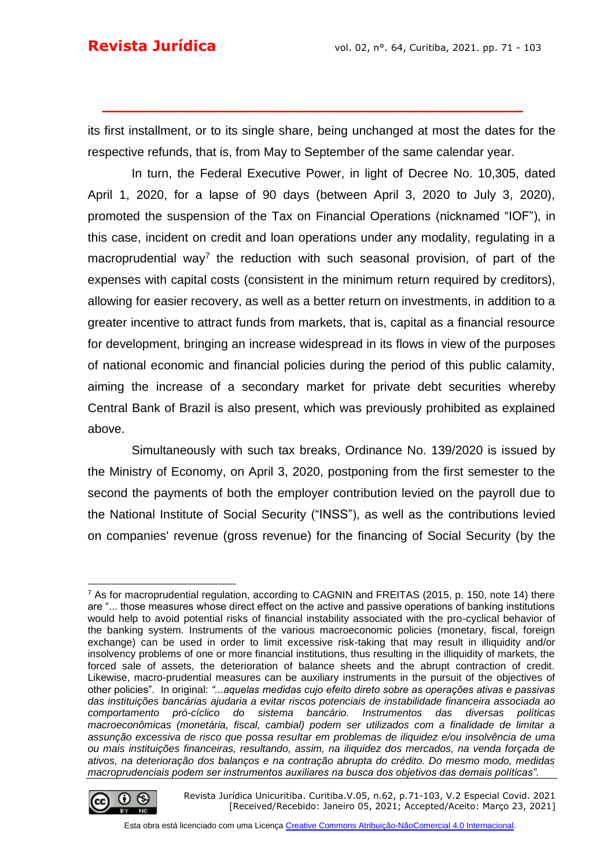its first installment, or to its single share, being unchanged at most the dates for the respective refunds, that is, from May to September of the same calendar year.

**\_\_\_\_\_\_\_\_\_\_\_\_\_\_\_\_\_\_\_\_\_\_\_\_\_\_\_\_\_\_\_\_\_\_\_\_\_\_\_\_\_**

In turn, the Federal Executive Power, in light of Decree No. 10,305, dated April 1, 2020, for a lapse of 90 days (between April 3, 2020 to July 3, 2020), promoted the suspension of the Tax on Financial Operations (nicknamed "IOF"), in this case, incident on credit and loan operations under any modality, regulating in a macroprudential way<sup>7</sup> the reduction with such seasonal provision, of part of the expenses with capital costs (consistent in the minimum return required by creditors), allowing for easier recovery, as well as a better return on investments, in addition to a greater incentive to attract funds from markets, that is, capital as a financial resource for development, bringing an increase widespread in its flows in view of the purposes of national economic and financial policies during the period of this public calamity, aiming the increase of a secondary market for private debt securities whereby Central Bank of Brazil is also present, which was previously prohibited as explained above.

Simultaneously with such tax breaks, Ordinance No. 139/2020 is issued by the Ministry of Economy, on April 3, 2020, postponing from the first semester to the second the payments of both the employer contribution levied on the payroll due to the National Institute of Social Security ("INSS"), as well as the contributions levied on companies' revenue (gross revenue) for the financing of Social Security (by the

<sup>7</sup> As for macroprudential regulation, according to CAGNIN and FREITAS (2015, p. 150, note 14) there are "... those measures whose direct effect on the active and passive operations of banking institutions would help to avoid potential risks of financial instability associated with the pro-cyclical behavior of the banking system. Instruments of the various macroeconomic policies (monetary, fiscal, foreign exchange) can be used in order to limit excessive risk-taking that may result in illiquidity and/or insolvency problems of one or more financial institutions, thus resulting in the illiquidity of markets, the forced sale of assets, the deterioration of balance sheets and the abrupt contraction of credit. Likewise, macro-prudential measures can be auxiliary instruments in the pursuit of the objectives of other policies". In original: *"...aquelas medidas cujo efeito direto sobre as operações ativas e passivas das instituições bancárias ajudaria a evitar riscos potenciais de instabilidade financeira associada ao comportamento pró-cíclico do sistema bancário. Instrumentos das diversas políticas macroeconômicas (monetária, fiscal, cambial) podem ser utilizados com a finalidade de limitar a assunção excessiva de risco que possa resultar em problemas de iliquidez e/ou insolvência de uma ou mais instituições financeiras, resultando, assim, na iliquidez dos mercados, na venda forçada de ativos, na deterioração dos balanços e na contração abrupta do crédito. Do mesmo modo, medidas macroprudenciais podem ser instrumentos auxiliares na busca dos objetivos das demais políticas".*



Revista Jurídica Unicuritiba. Curitiba.V.05, n.62, p.71-103, V.2 Especial Covid. 2021 [Received/Recebido: Janeiro 05, 2021; Accepted/Aceito: Março 23, 2021]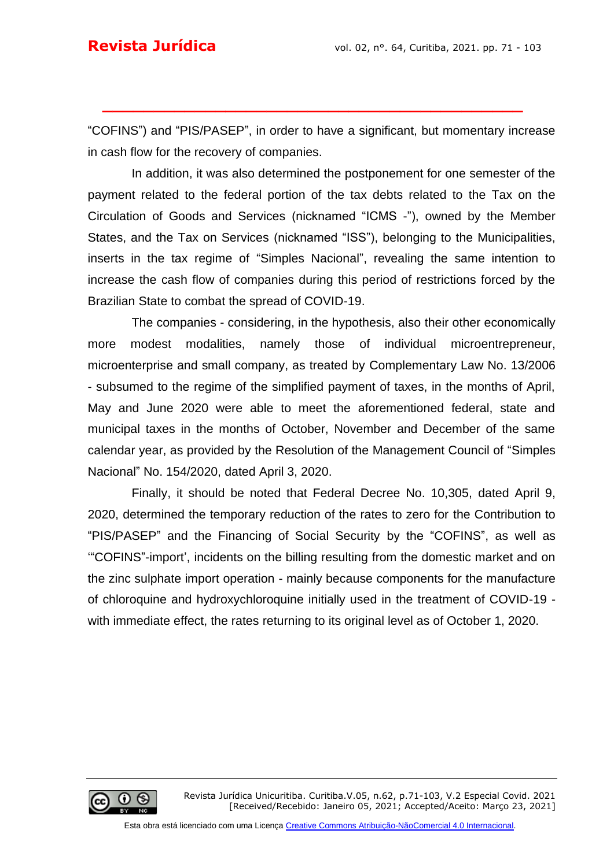"COFINS") and "PIS/PASEP", in order to have a significant, but momentary increase in cash flow for the recovery of companies.

**\_\_\_\_\_\_\_\_\_\_\_\_\_\_\_\_\_\_\_\_\_\_\_\_\_\_\_\_\_\_\_\_\_\_\_\_\_\_\_\_\_**

In addition, it was also determined the postponement for one semester of the payment related to the federal portion of the tax debts related to the Tax on the Circulation of Goods and Services (nicknamed "ICMS -"), owned by the Member States, and the Tax on Services (nicknamed "ISS"), belonging to the Municipalities, inserts in the tax regime of "Simples Nacional", revealing the same intention to increase the cash flow of companies during this period of restrictions forced by the Brazilian State to combat the spread of COVID-19.

The companies - considering, in the hypothesis, also their other economically more modest modalities, namely those of individual microentrepreneur, microenterprise and small company, as treated by Complementary Law No. 13/2006 - subsumed to the regime of the simplified payment of taxes, in the months of April, May and June 2020 were able to meet the aforementioned federal, state and municipal taxes in the months of October, November and December of the same calendar year, as provided by the Resolution of the Management Council of "Simples Nacional" No. 154/2020, dated April 3, 2020.

Finally, it should be noted that Federal Decree No. 10,305, dated April 9, 2020, determined the temporary reduction of the rates to zero for the Contribution to "PIS/PASEP" and the Financing of Social Security by the "COFINS", as well as '"COFINS"-import', incidents on the billing resulting from the domestic market and on the zinc sulphate import operation - mainly because components for the manufacture of chloroquine and hydroxychloroquine initially used in the treatment of COVID-19 with immediate effect, the rates returning to its original level as of October 1, 2020.

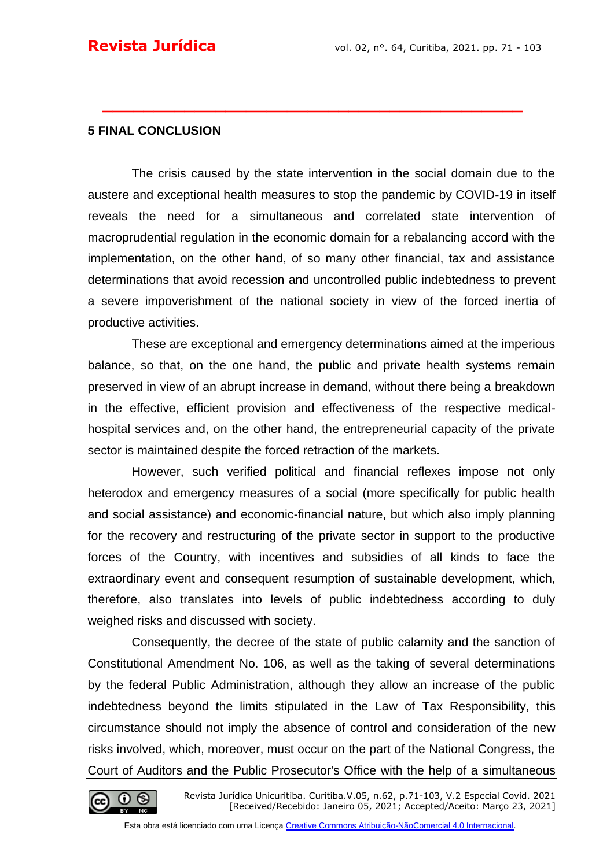#### **5 FINAL CONCLUSION**

The crisis caused by the state intervention in the social domain due to the austere and exceptional health measures to stop the pandemic by COVID-19 in itself reveals the need for a simultaneous and correlated state intervention of macroprudential regulation in the economic domain for a rebalancing accord with the implementation, on the other hand, of so many other financial, tax and assistance determinations that avoid recession and uncontrolled public indebtedness to prevent a severe impoverishment of the national society in view of the forced inertia of productive activities.

**\_\_\_\_\_\_\_\_\_\_\_\_\_\_\_\_\_\_\_\_\_\_\_\_\_\_\_\_\_\_\_\_\_\_\_\_\_\_\_\_\_**

These are exceptional and emergency determinations aimed at the imperious balance, so that, on the one hand, the public and private health systems remain preserved in view of an abrupt increase in demand, without there being a breakdown in the effective, efficient provision and effectiveness of the respective medicalhospital services and, on the other hand, the entrepreneurial capacity of the private sector is maintained despite the forced retraction of the markets.

However, such verified political and financial reflexes impose not only heterodox and emergency measures of a social (more specifically for public health and social assistance) and economic-financial nature, but which also imply planning for the recovery and restructuring of the private sector in support to the productive forces of the Country, with incentives and subsidies of all kinds to face the extraordinary event and consequent resumption of sustainable development, which, therefore, also translates into levels of public indebtedness according to duly weighed risks and discussed with society.

Consequently, the decree of the state of public calamity and the sanction of Constitutional Amendment No. 106, as well as the taking of several determinations by the federal Public Administration, although they allow an increase of the public indebtedness beyond the limits stipulated in the Law of Tax Responsibility, this circumstance should not imply the absence of control and consideration of the new risks involved, which, moreover, must occur on the part of the National Congress, the Court of Auditors and the Public Prosecutor's Office with the help of a simultaneous

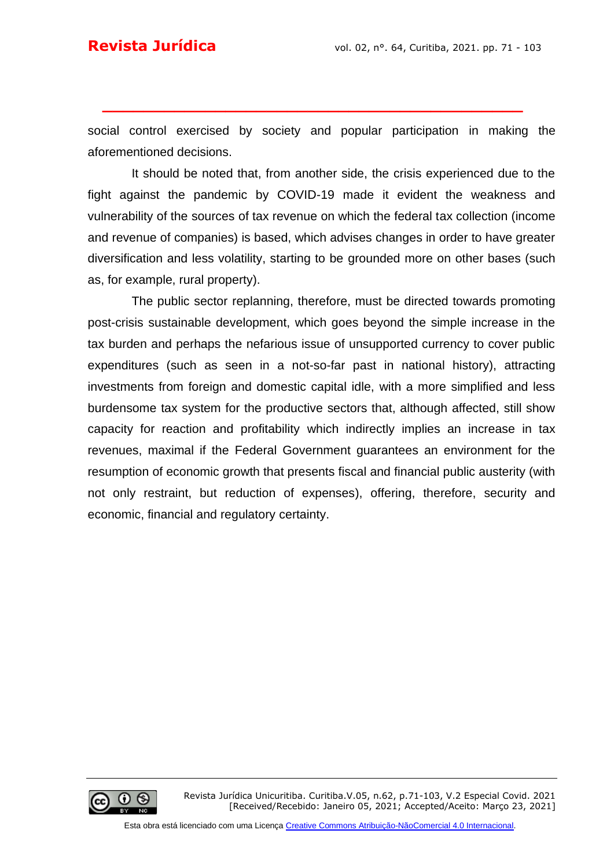social control exercised by society and popular participation in making the aforementioned decisions.

**\_\_\_\_\_\_\_\_\_\_\_\_\_\_\_\_\_\_\_\_\_\_\_\_\_\_\_\_\_\_\_\_\_\_\_\_\_\_\_\_\_**

It should be noted that, from another side, the crisis experienced due to the fight against the pandemic by COVID-19 made it evident the weakness and vulnerability of the sources of tax revenue on which the federal tax collection (income and revenue of companies) is based, which advises changes in order to have greater diversification and less volatility, starting to be grounded more on other bases (such as, for example, rural property).

The public sector replanning, therefore, must be directed towards promoting post-crisis sustainable development, which goes beyond the simple increase in the tax burden and perhaps the nefarious issue of unsupported currency to cover public expenditures (such as seen in a not-so-far past in national history), attracting investments from foreign and domestic capital idle, with a more simplified and less burdensome tax system for the productive sectors that, although affected, still show capacity for reaction and profitability which indirectly implies an increase in tax revenues, maximal if the Federal Government guarantees an environment for the resumption of economic growth that presents fiscal and financial public austerity (with not only restraint, but reduction of expenses), offering, therefore, security and economic, financial and regulatory certainty.

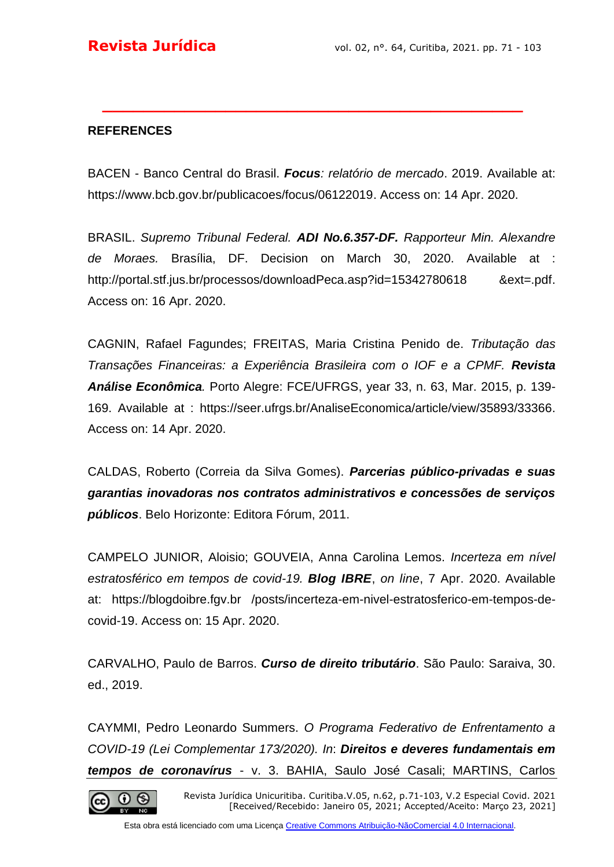### **REFERENCES**

BACEN - Banco Central do Brasil. *Focus: relatório de mercado*. 2019. Available at: [https://www.bcb.gov.br/publicacoes/focus/06122019.](https://www.bcb.gov.br/publicacoes/focus/06122019) Access on: 14 Apr. 2020.

**\_\_\_\_\_\_\_\_\_\_\_\_\_\_\_\_\_\_\_\_\_\_\_\_\_\_\_\_\_\_\_\_\_\_\_\_\_\_\_\_\_**

BRASIL. *Supremo Tribunal Federal. ADI No.6.357-DF. Rapporteur Min. Alexandre de Moraes.* Brasília, DF. Decision on March 30, 2020. Available at : [http://portal.stf.jus.br/processos/downloadPeca.asp?id=15342780618 &ext=.pdf.](http://portal.stf.jus.br/processos/downloadPeca.asp?id=15342780618%20&ext=.pdf) Access on: 16 Apr. 2020.

CAGNIN, Rafael Fagundes; FREITAS, Maria Cristina Penido de. *Tributação das Transações Financeiras: a Experiência Brasileira com o IOF e a CPMF. Revista Análise Econômica.* Porto Alegre: FCE/UFRGS, year 33, n. 63, Mar. 2015, p. 139- 169. Available at : [https://seer.ufrgs.br/AnaliseEconomica/article/view/35893/33366.](https://seer.ufrgs.br/AnaliseEconomica/article/view/35893/33366) Access on: 14 Apr. 2020.

CALDAS, Roberto (Correia da Silva Gomes). *Parcerias público-privadas e suas garantias inovadoras nos contratos administrativos e concessões de serviços públicos*. Belo Horizonte: Editora Fórum, 2011.

CAMPELO JUNIOR, Aloisio; GOUVEIA, Anna Carolina Lemos. *Incerteza em nível estratosférico em tempos de covid-19. Blog IBRE*, *on line*, 7 Apr. 2020. Available at: https://blogdoibre.fgv.br /posts/incerteza-em-nivel-estratosferico-em-tempos-decovid-19. Access on: 15 Apr. 2020.

CARVALHO, Paulo de Barros. *Curso de direito tributário*. São Paulo: Saraiva, 30. ed., 2019.

CAYMMI, Pedro Leonardo Summers. *O Programa Federativo de Enfrentamento a COVID-19 (Lei Complementar 173/2020). In*: *Direitos e deveres fundamentais em tempos de coronavírus* - v. 3. BAHIA, Saulo José Casali; MARTINS, Carlos



Revista Jurídica Unicuritiba. Curitiba.V.05, n.62, p.71-103, V.2 Especial Covid. 2021 [Received/Recebido: Janeiro 05, 2021; Accepted/Aceito: Março 23, 2021]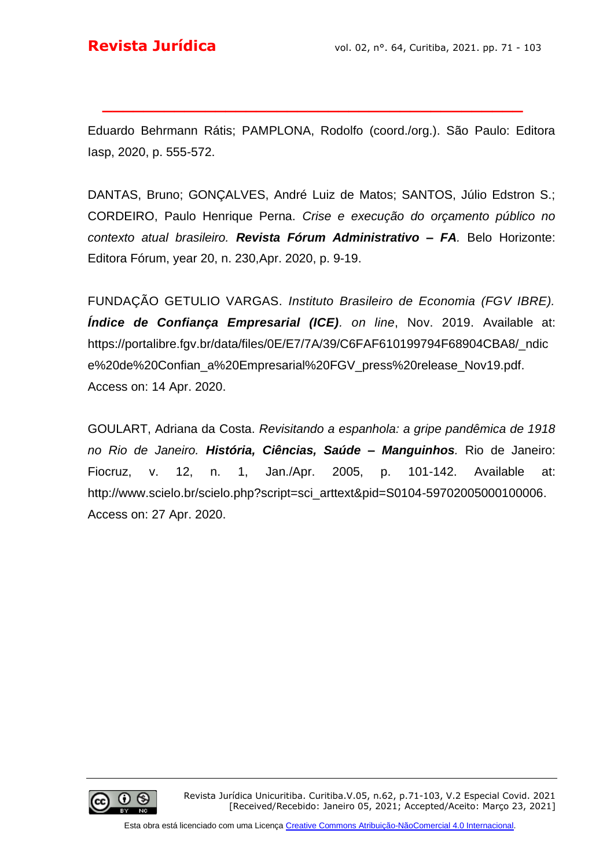Eduardo Behrmann Rátis; PAMPLONA, Rodolfo (coord./org.). São Paulo: Editora Iasp, 2020, p. 555-572.

**\_\_\_\_\_\_\_\_\_\_\_\_\_\_\_\_\_\_\_\_\_\_\_\_\_\_\_\_\_\_\_\_\_\_\_\_\_\_\_\_\_**

DANTAS, Bruno; GONÇALVES, André Luiz de Matos; SANTOS, Júlio Edstron S.; CORDEIRO, Paulo Henrique Perna. *Crise e execução do orçamento público no contexto atual brasileiro. Revista Fórum Administrativo – FA.* Belo Horizonte: Editora Fórum, year 20, n. 230,Apr. 2020, p. 9-19.

FUNDAÇÃO GETULIO VARGAS. *Instituto Brasileiro de Economia (FGV IBRE). Índice de Confiança Empresarial (ICE). on line*, Nov. 2019. Available at: [https://portalibre.fgv.br/data/files/0E/E7/7A/39/C6FAF610199794F68904CBA8/\\_ndic](https://portalibre.fgv.br/data/files/0E/E7/7A/39/C6FAF610199794F68904CBA8/_ndice%20de%20Confian_a%20Empresarial%20FGV_press%20release_Nov19.pdf) [e%20de%20Confian\\_a%20Empresarial%20FGV\\_press%20release\\_Nov19.pdf.](https://portalibre.fgv.br/data/files/0E/E7/7A/39/C6FAF610199794F68904CBA8/_ndice%20de%20Confian_a%20Empresarial%20FGV_press%20release_Nov19.pdf) Access on: 14 Apr. 2020.

GOULART, Adriana da Costa. *Revisitando a espanhola: a gripe pandêmica de 1918 no Rio de Janeiro. História, Ciências, Saúde – Manguinhos.* Rio de Janeiro: Fiocruz, v. 12, n. 1, Jan./Apr. 2005, p. 101-142. Available at: [http://www.scielo.br/scielo.php?script=sci\\_arttext&pid=S0104-59702005000100006.](http://www.scielo.br/scielo.php?script=sci_arttext&pid=S0104-59702005000100006) Access on: 27 Apr. 2020.

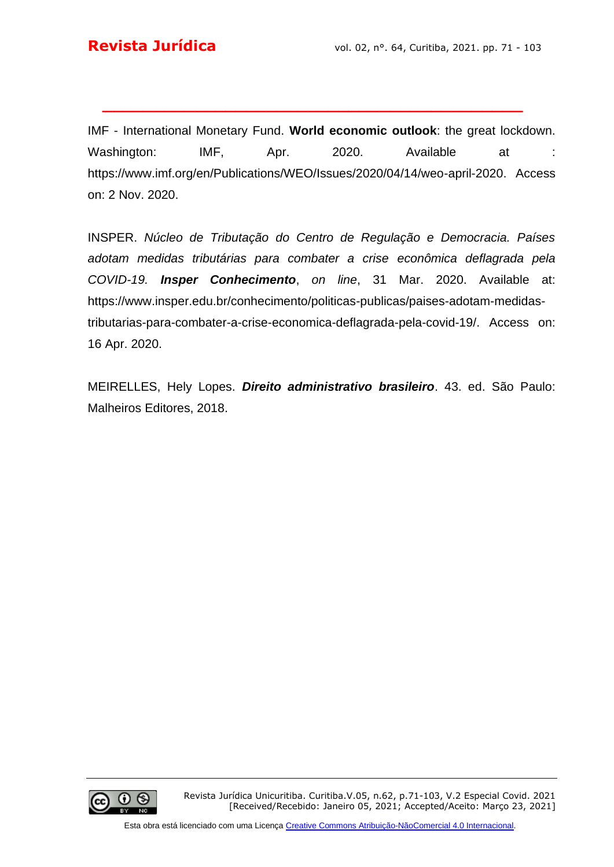IMF - International Monetary Fund. **World economic outlook**: the great lockdown. Washington: IMF, Apr. 2020. Available at : https://www.imf.org/en/Publications/WEO/Issues/2020/04/14/weo-april-2020. Access on: 2 Nov. 2020.

**\_\_\_\_\_\_\_\_\_\_\_\_\_\_\_\_\_\_\_\_\_\_\_\_\_\_\_\_\_\_\_\_\_\_\_\_\_\_\_\_\_**

INSPER. *Núcleo de Tributação do Centro de Regulação e Democracia. Países adotam medidas tributárias para combater a crise econômica deflagrada pela COVID-19. Insper Conhecimento*, *on line*, 31 Mar. 2020. Available at: [https://www.insper.edu.br/conhecimento/politicas-publicas/paises-adotam-medidas](https://www.insper.edu.br/conhecimento/politicas-publicas/paises-adotam-medidas-tributarias-para-combater-a-crise-economica-deflagrada-pela-covid-19/)[tributarias-para-combater-a-crise-economica-deflagrada-pela-covid-19/.](https://www.insper.edu.br/conhecimento/politicas-publicas/paises-adotam-medidas-tributarias-para-combater-a-crise-economica-deflagrada-pela-covid-19/) Access on: 16 Apr. 2020.

MEIRELLES, Hely Lopes. *Direito administrativo brasileiro*. 43. ed. São Paulo: Malheiros Editores, 2018.

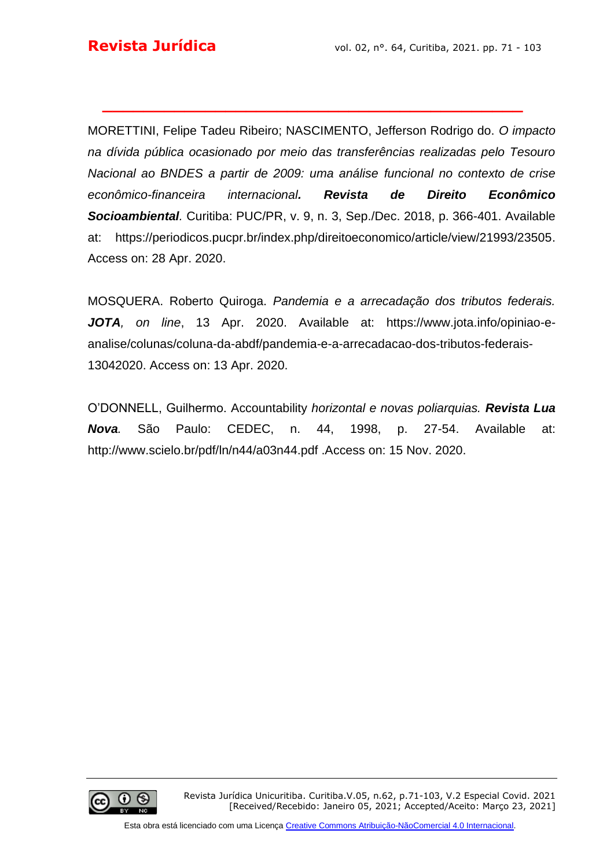MORETTINI, Felipe Tadeu Ribeiro; NASCIMENTO, Jefferson Rodrigo do. *O impacto na dívida pública ocasionado por meio das transferências realizadas pelo Tesouro Nacional ao BNDES a partir de 2009: uma análise funcional no contexto de crise econômico-financeira internacional. Revista de Direito Econômico Socioambiental.* Curitiba: PUC/PR, v. 9, n. 3, Sep./Dec. 2018, p. 366-401. Available at: [https://periodicos.pucpr.br/index.php/direitoeconomico/article/view/21993/23505.](https://periodicos.pucpr.br/index.php/direitoeconomico/article/view/21993/23505) Access on: 28 Apr. 2020.

**\_\_\_\_\_\_\_\_\_\_\_\_\_\_\_\_\_\_\_\_\_\_\_\_\_\_\_\_\_\_\_\_\_\_\_\_\_\_\_\_\_**

MOSQUERA. Roberto Quiroga. *Pandemia e a arrecadação dos tributos federais. JOTA, on line*, 13 Apr. 2020. Available at: [https://www.jota.info/opiniao-e](https://www.jota.info/opiniao-e-analise/colunas/coluna-da-abdf/pandemia-e-a-arrecadacao-dos-tributos-federais-13042020)[analise/colunas/coluna-da-abdf/pandemia-e-a-arrecadacao-dos-tributos-federais-](https://www.jota.info/opiniao-e-analise/colunas/coluna-da-abdf/pandemia-e-a-arrecadacao-dos-tributos-federais-13042020)[13042020.](https://www.jota.info/opiniao-e-analise/colunas/coluna-da-abdf/pandemia-e-a-arrecadacao-dos-tributos-federais-13042020) Access on: 13 Apr. 2020.

O'DONNELL, Guilhermo. Accountability *horizontal e novas poliarquias. Revista Lua Nova.* São Paulo: CEDEC, n. 44, 1998, p. 27-54. Available at: http://www.scielo.br/pdf/ln/n44/a03n44.pdf .Access on: 15 Nov. 2020.

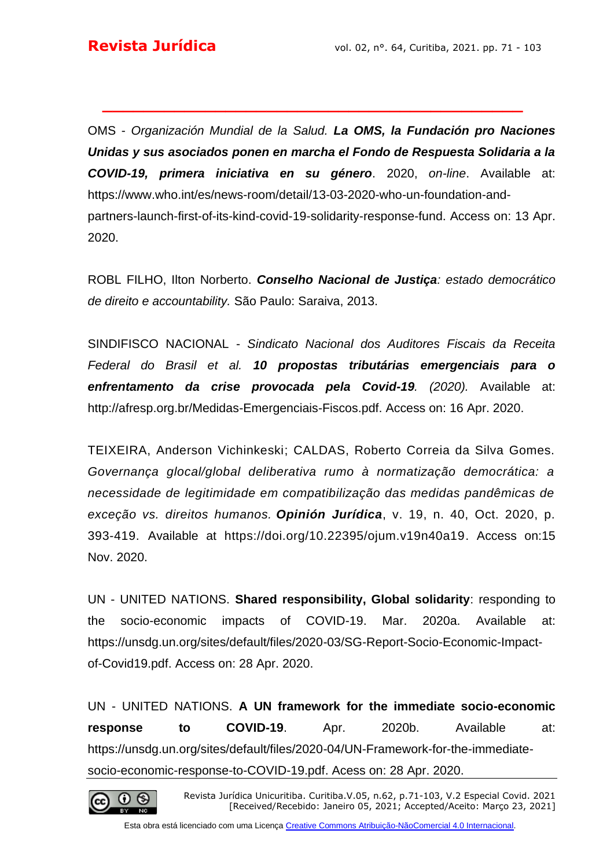OMS - *Organización Mundial de la Salud. La OMS, la Fundación pro Naciones Unidas y sus asociados ponen en marcha el Fondo de Respuesta Solidaria a la COVID-19, primera iniciativa en su género*. 2020, *on-line*. Available at: [https://www.who.int/es/news-room/detail/13-03-2020-who-un-foundation-and](https://www.who.int/es/news-room/detail/13-03-2020-who-un-foundation-and-partners-launch-first-of-its-kind-covid-19-solidarity-response-fund)[partners-launch-first-of-its-kind-covid-19-solidarity-response-fund.](https://www.who.int/es/news-room/detail/13-03-2020-who-un-foundation-and-partners-launch-first-of-its-kind-covid-19-solidarity-response-fund) Access on: 13 Apr. 2020.

**\_\_\_\_\_\_\_\_\_\_\_\_\_\_\_\_\_\_\_\_\_\_\_\_\_\_\_\_\_\_\_\_\_\_\_\_\_\_\_\_\_**

ROBL FILHO, Ilton Norberto. *Conselho Nacional de Justiça: estado democrático de direito e accountability.* São Paulo: Saraiva, 2013.

SINDIFISCO NACIONAL - *Sindicato Nacional dos Auditores Fiscais da Receita Federal do Brasil et al. 10 propostas tributárias emergenciais para o enfrentamento da crise provocada pela Covid-19. (2020).* Available at: [http://afresp.org.br/Medidas-Emergenciais-Fiscos.pdf.](http://afresp.org.br/Medidas-Emergenciais-Fiscos.pdf) Access on: 16 Apr. 2020.

TEIXEIRA, Anderson Vichinkeski; CALDAS, Roberto Correia da Silva Gomes. *Governança glocal/global deliberativa rumo à normatização democrática: a necessidade de legitimidade em compatibilização das medidas pandêmicas de exceção vs. direitos humanos. Opinión Jurídica*, v. 19, n. 40, Oct. 2020, p. 393-419. Available at [https://doi.org/10.22395/ojum.v19n40a19.](https://doi.org/10.22395/ojum.v19n40a19) Access on:15 Nov. 2020.

UN - UNITED NATIONS. **Shared responsibility, Global solidarity**: responding to the socio-economic impacts of COVID-19. Mar. 2020a. Available at: [https://unsdg.un.org/sites/default/files/2020-03/SG-Report-Socio-Economic-Impact](https://unsdg.un.org/sites/default/files/2020-03/SG-Report-Socio-Economic-Impact-of-Covid19.pdf)[of-Covid19.pdf.](https://unsdg.un.org/sites/default/files/2020-03/SG-Report-Socio-Economic-Impact-of-Covid19.pdf) Access on: 28 Apr. 2020.

UN - UNITED NATIONS. **A UN framework for the immediate socio-economic response to COVID-19**. Apr. 2020b. Available at: [https://unsdg.un.org/sites/default/files/2020-04/UN-Framework-for-the-immediate](https://unsdg.un.org/sites/default/files/2020-04/UN-Framework-for-the-immediate-socio-economic-response-to-COVID-19.pdf)[socio-economic-response-to-COVID-19.pdf.](https://unsdg.un.org/sites/default/files/2020-04/UN-Framework-for-the-immediate-socio-economic-response-to-COVID-19.pdf) Acess on: 28 Apr. 2020.